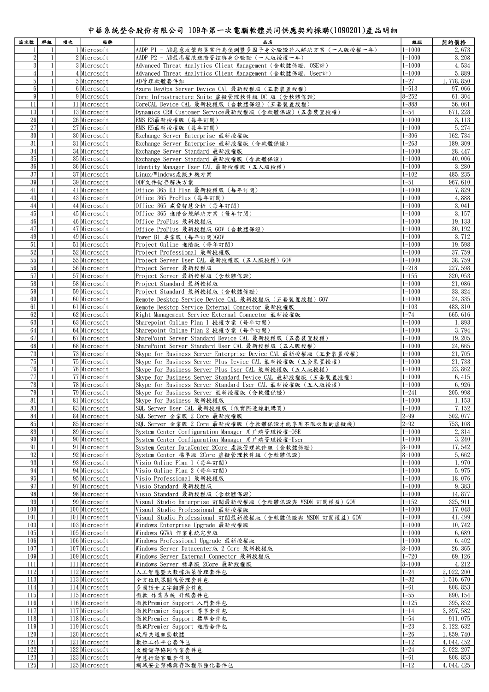## 中華系統整合股份有限公司 109年第一次電腦軟體共同供應契約採購(1090201)產品明細

| 流水號             | 群組                | 项次 | 廠牌                               | 品名                                                             | 級距           | 契約價格        |
|-----------------|-------------------|----|----------------------------------|----------------------------------------------------------------|--------------|-------------|
| $\mathbf{1}$    |                   |    | 1 Microsoft                      | AADP P1 - AD惡意攻擊與異常行為偵測暨多因子身分驗證登入解決方案(一人版授權一年)                 | $1 - 1000$   | 2,673       |
| $\mathbf{2}$    |                   |    | $2$ Microsoft                    | AADP P2 - AD最高權限進階管控與身分驗證 (一人版授權一年)                            | $1 - 1000$   | 3, 208      |
| $\frac{3}{3}$   | $\mathbf{1}$      |    | 3 Microsoft                      | Advanced Threat Analytics Client Management (含軟體保證,OSE計)       | $1 - 1000$   | 4,534       |
| $\overline{4}$  | $\mathbf{1}$      |    | 4 Microsoft                      | Advanced Threat Analytics Client Management (含軟體保證, User計)     | $1 - 1000$   | 5,889       |
| 5 <sup>1</sup>  | $\mathbf{1}$      |    | $5$ Microsoft                    | AD管理軟體套件組                                                      | $1 - 27$     | 1,778,850   |
| 6 <sup>1</sup>  |                   |    | 6 Microsoft                      | Azure DevOps Server Device CAL 最新授權版 (五套裝置授權)                  | $1 - 513$    | 97,066      |
| $\overline{9}$  | $\mathbf{1}$      |    | $9$ Microsoft                    | Core Infrastructure Suite 虛擬管理軟件組 DC 版 (含軟體保證)                 | $8 - 252$    | 61, 304     |
| 11              | $\mathbf{1}$      |    | 11 Microsoft                     | CoreCAL Device_CAL 最新授權版 (含軟體保證) (五套裝置授權)                      | $1 - 888$    | 56,061      |
| 13              | $\mathbf{1}$      |    | 13 Microsoft                     | Dynamics CRM Customer Service最新授權版 (含軟體保證) (五套裝置授權)            | $1 - 54$     | 671, 228    |
| 26              | $\mathbf{1}$      |    | 26 Microsoft                     | EMS E3最新授權版 (每年訂閱)                                             | $1 - 1000$   | 3, 113      |
| 27              | $\mathbf{1}$      |    | 27 Microsoft                     | EMS E5最新授權版 (每年訂閱)                                             | $1 - 1000$   | 5, 274      |
| 30 <sup>°</sup> |                   |    | 30 Microsoft                     | Exchange Server Enterprise 最新授權版                               | $1 - 306$    | 162, 734    |
| 31              | $\mathbf{1}$      |    | 31 Microsoft                     | Exchange Server Enterprise 最新授權版 (含軟體保證)                       | $1 - 263$    | 189, 309    |
| 34              |                   |    | 34 Microsoft                     | Exchange Server Standard 最新授權版                                 | $1 - 1000$   | 28, 447     |
| 35 <sup>5</sup> |                   |    | 35 Microsoft                     | Exchange Server Standard 最新授權版 (含軟體保證)                         | $1 - 1000$   | 40,006      |
| 36              |                   |    | 36 Microsoft                     | Identity Manager User CAL 最新授權版 (五人版授權)                        | $1 - 1000$   | 3, 280      |
| 37              | $\mathbf{1}$      |    | 37 Microsoft                     | Linux/Windows虚擬主機方案                                            | $1 - 102$    | 485, 235    |
| 39              | $\mathbf{1}$      |    | 39 Microsoft                     | ODF文件儲存解決方案                                                    | $1 - 51$     | 967, 610    |
| 41              | $\mathbf{1}$      |    | 41 Microsoft                     | Office 365 E3 Plan 最新授權版 (每年訂閱)                                | $1 - 1000$   | 7,829       |
| 43              |                   |    | 43 Microsoft                     | Office 365 ProPlus (每年訂閱)                                      | $1 - 1000$   | 4,888       |
| 44              |                   |    | 44 Microsoft                     | Office 365 威脅智慧分析 (每年訂閱)                                       | $1 - 1000$   | 3, 041      |
| 45              |                   |    | 45 Microsoft                     | Office 365 進階合規解決方案 (每年訂閱)                                     | $1 - 1000$   | 3, 157      |
| 46              |                   |    |                                  |                                                                |              |             |
| 47              |                   |    | 46 Microsoft                     | Office ProPlus 最新授權版                                           | $1 - 1000$   | 19, 133     |
| 49              |                   |    | 47 Microsoft                     | Office ProPlus 最新授權版 GOV (含軟體保證)                               | $1 - 1000$   | 30, 192     |
|                 |                   |    | 49 Microsoft                     | Power BI 專業版 (每年訂閱)GOV                                         | $1 - 1000$   | 3, 712      |
| $51\,$          |                   |    | $51$ Microsoft                   | Project Online 進階版 (每年訂閱)                                      | $1 - 1000$   | 19,598      |
| 52              |                   |    | 52 Microsoft                     | Project Professional 最新授權版                                     | $1 - 1000$   | 37, 759     |
| 55              | 1                 |    | 55 Microsoft                     | Project Server User CAL 最新授權版 (五人版授權) GOV                      | $1 - 1000$   | 38,759      |
| 56              | $\mathbf{1}$      |    | 56 Microsoft                     | Project Server 最新授權版                                           | $1 - 218$    | 227, 598    |
| 57              |                   |    | 57 Microsoft                     | Project Server 最新授權版 (含軟體保證)                                   | $1 - 155$    | 320, 053    |
| 58              |                   |    | 58 Microsoft                     | Project Standard 最新授權版                                         | $1 - 1000$   | 21,086      |
| 59              | $\mathbf{1}$      |    | 59 Microsoft                     | Project Standard 最新授權版 (含軟體保證)                                 | $1 - 1000$   | 33, 324     |
| 60              |                   |    | 60 Microsoft                     | Remote Desktop Service Device CAL 最新授權版 (五套裝置授權) GOV           | $1 - 1000$   | 24, 335     |
| 61              | $\mathbf{1}$      |    | 61 Microsoft                     | Remote Desktop Service External Connector 最新授權版                | $1 - 103$    | 483, 310    |
| 62              | 1                 |    | 62 Microsoft                     | Right Management Service External Connector 最新授權版              | $1 - 74$     | 665, 616    |
| 63              | $\mathbf{1}$      |    | 63 Microsoft                     | Sharepoint Online Plan 1 授權方案 (每年訂閱)                           | $1 - 1000$   | 1,893       |
| 64              | $\mathbf{1}$      |    | 64 Microsoft                     | Sharepoint Online Plan 2 授權方案 (每年訂閱)                           | $1 - 1000$   | 3, 794      |
| 67              | $\mathbf{1}$      |    | 67 Microsoft                     | SharePoint Server Standard Device CAL 最新授權版 (五套裝置授權)           | $1 - 1000$   | 19, 205     |
| 68              |                   |    | 68 Microsoft                     | SharePoint Server Standard User CAL 最新授權版 (五人版授權)              | $1 - 1000$   | 24,665      |
| 73              |                   |    | 73 Microsoft                     | Skype for Business Server Enterprise Device CAL 最新授權版 (五套裝置授權) | $1 - 1000$   | 21,705      |
| 75              | $\mathbf{1}$      |    | 75 Microsoft                     | Skype for Business Server Plus Device CAL 最新授權版 (五套裝置授權)       | $1 - 1000$   | 21,733      |
| 76              | $\mathbf{1}$      |    | 76 Microsoft                     | Skype for Business Server Plus User CAL 最新授權版 (五人版授權)          | $1 - 1000$   | 23,862      |
| 77              |                   |    | 77 Microsoft                     | Skype for Business Server Standard Device CAL 最新授權版 (五套裝置授權)   | $1 - 1000$   | 6,415       |
| 78              |                   |    | 78 Microsoft                     | Skype for Business Server Standard User CAL 最新授權版 (五人版授權)      | $1 - 1000$   | 6,926       |
| 79              |                   |    | 79 Microsoft                     | Skype for Business Server 最新授權版 (含軟體保證)                        | $1 - 241$    | 205, 998    |
| 81              |                   |    | 81 Microsoft                     | Skvpe for Business 最新授權版                                       | $1 - 1000$   | 1, 153      |
| 83              |                   |    | 83 Microsoft                     | SQL Server User CAL 最新授權版 (依實際連線數購買)                           | $ 1 - 1000 $ | 7, 152      |
| 84              | $\mathbf{1}$      |    | 84 Microsoft                     | SQL Server 企業版 2 Core 最新授權版                                    | $2 - 99$     | 502, 077    |
| 85              |                   |    | 85 Microsoft                     | SQL Server 企業版 2 Core 最新授權版 (含軟體保證才能享用不限次數的虛擬機)                | $2 - 92$     | 753, 108    |
| 89              |                   |    | 89 Microsoft                     | System Center Configuration Manager 用戶端管理授權-OSE                | $1 - 1000$   | 2, 314      |
| 90              |                   |    | 90 Microsoft                     | System Center Configuration Manager 用戶端管理授權-User               | $1 - 1000$   | 3, 240      |
| 91              |                   |    | 91 Microsoft                     | System Center DataCenter 2Core 虚擬管理軟件組 (含軟體保證)                 | $8 - 1000$   | 17, 542     |
| 92              |                   |    | 92 Microsoft                     | System Center 標準版 2Core 虛擬管理軟件組(含軟體保證)                         | $8 - 1000$   | 5,662       |
| 93              |                   |    | 93 Microsoft                     | Visio Online Plan 1 (每年訂閱)                                     | $1 - 1000$   | 1,970       |
| 94              |                   |    | 94 Microsoft                     | Visio Online Plan 2 (每年訂閱)                                     | $1 - 1000$   | 5,975       |
| 95              |                   |    | 95 Microsoft                     | Visio Professional 最新授權版                                       | $1 - 1000$   | 18,076      |
| 97              |                   |    | 97 Microsoft                     | Visio Standard 最新授權版                                           | $1 - 1000$   | 9,383       |
| 98              |                   |    | 98 Microsoft                     | Visio Standard 最新授權版 (含軟體保證)                                   | $1 - 1000$   | 14,877      |
| 99              |                   |    | 99 Microsoft                     | Visual Studio Enterprise 訂閱最新授權版 (含軟體保證與 MSDN 訂閱權益) GOV        | $1 - 152$    | 325, 911    |
| 100             |                   |    | $100$ Microsoft                  | Visual Studio Professional 最新授權版                               | $1 - 1000$   | 17,048      |
| 101             |                   |    | 101 Microsoft                    | Visual Studio Professional 訂閱最新授權版 (含軟體保證與 MSDN 訂閱權益) GOV      | $1 - 1000$   | 41, 499     |
| 103             |                   |    | 103 Microsoft                    | Windows Enterprise Upgrade 最新授權版                               | $1 - 1000$   | 10,742      |
| 105             |                   |    | $105$ Microsoft                  | Windows GGWA 作業系統完整版                                           | $1 - 1000$   | 6,689       |
| 106             |                   |    | 106 Microsoft                    | Windows Professional Upgrade 最新授權版                             | $1 - 1000$   | 6,402       |
| 107             | 1                 |    |                                  |                                                                | $8 - 1000$   |             |
|                 |                   |    | 107 Microsoft                    | Windows Server Datacenter版 2 Core 最新授權版                        |              | 26, 365     |
| 109             | 1<br>$\mathbf{1}$ |    | 109 Microsoft<br>$111$ Microsoft | Windows Server External Connector 最新授權版                        | $1 - 720$    | 69, 126     |
| 111             |                   |    |                                  | Windows Server 標準版 2Core 最新授權版                                 | $8 - 1000$   | 4, 212      |
| 112             | $\mathbf{1}$      |    | $112$ Microsoft                  | 人工智慧暨大數據決策管理套件包                                                | $1 - 24$     | 2, 022, 200 |
| 113             | $\mathbf{1}$      |    | 113 Microsoft                    | 全方位民眾關係管理套件包                                                   | $1 - 32$     | 1, 516, 670 |
| 114             |                   |    | 114 Microsoft                    | 多國語音文字翻譯套件包                                                    | $1 - 61$     | 808, 853    |
| 115             |                   |    | $115$ Microsoft                  | 微軟 作業系統 升級套件包                                                  | $1 - 55$     | 890, 154    |
| 116             | $\mathbf{1}$      |    | 116 Microsoft                    | 微軟Premier Support 入門套件包                                        | $1 - 125$    | 395, 852    |
| 117             |                   |    | 117 Microsoft                    | 微軟Premier Support 尊享套件包                                        | $1 - 14$     | 3, 397, 582 |
| 118             |                   |    | 118 Microsoft                    | 微軟Premier Support 標準套件包                                        | $1 - 54$     | 911, 075    |
| 119             |                   |    | 119 Microsoft                    | 微軟Premier Support 進階套件包                                        | $1 - 23$     | 2, 122, 632 |
| 120             |                   |    | 120 Microsoft                    | 政府共通組態軟體                                                       | $1 - 26$     | 1, 859, 740 |
| 121             |                   |    | 121 Microsoft                    | 數位工作平台套件包                                                      | $1 - 12$     | 4, 044, 452 |
| 122             |                   |    | $122$ Microsoft                  | 文檔儲存協同作業套件包                                                    | $1 - 24$     | 2, 022, 207 |
| 123             | $\mathbf{1}$      |    | $123$ Microsoft                  | 智慧行動客服套件包                                                      | $1 - 61$     | 808, 853    |
| 125             | $\mathbf{1}$      |    | $125$ Microsoft                  | 網域安全架構與存取權限強化套件包                                               | $1 - 12$     | 4, 044, 425 |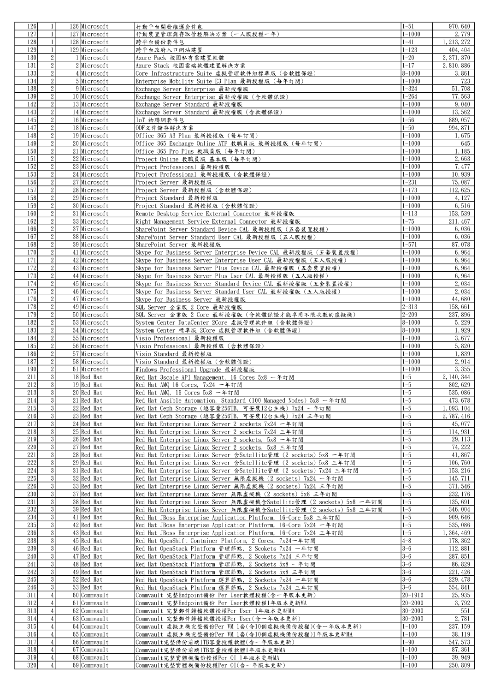| 126        | $\mathbf{1}$      | 126 Microsoft                  | 行動平台開發維運套件包                                                           | $1 - 51$          | 970, 640    |
|------------|-------------------|--------------------------------|-----------------------------------------------------------------------|-------------------|-------------|
| 127        | $\mathbf{1}$      | 127 Microsoft                  | 行動裝置管理與存取管控解決方案(一人版授權一年)                                              | $1 - 1000$        | 2,779       |
| 128        | 1                 | 128 Microsoft                  | 跨平台備份套件包                                                              | $1 - 41$          | 1, 213, 272 |
| 129        | $\mathbf{1}$      | 129 Microsoft                  |                                                                       | $1 - 123$         |             |
|            |                   |                                | 跨平台政府入口網站建置                                                           |                   | 404, 404    |
| 130        | $\overline{2}$    | 1 Microsoft                    | Azure Pack 校園私有雲建置軟體                                                  | $1 - 20$          | 2, 371, 370 |
| 131        | $\sqrt{2}$        | $2$ Microsoft                  | Azure Stack 校園雲端軟體建置解決方案                                              | $1 - 17$          | 2, 810, 886 |
| 133        | $\sqrt{2}$        | 4 Microsoft                    | Core Infrastructure Suite 虛擬管理軟件組標準版 (含軟體保證)                          | $\sqrt{8} - 1000$ | 3,861       |
|            | $\overline{2}$    |                                |                                                                       |                   |             |
| 134        |                   | 5 Microsoft                    | Enterprise Mobility Suite E3 Plan 最新授權版 (每年訂閱)                        | $1 - 1000$        | 723         |
| 138        | $\sqrt{2}$        | 9 Microsoft                    | Exchange Server Enterprise 最新授權版                                      | $1 - 324$         | 51,708      |
| 139        | $\sqrt{2}$        | 10 Microsoft                   | Exchange Server Enterprise 最新授權版 (含軟體保證)                              | $1 - 264$         | 77, 563     |
| 142        | $\sqrt{2}$        | 13 Microsoft                   | Exchange Server Standard 最新授權版                                        | $1 - 1000$        | 9,040       |
|            |                   |                                |                                                                       |                   |             |
| 143        | $\sqrt{2}$        | 14 Microsoft                   | Exchange Server Standard 最新授權版 (含軟體保證)                                | $1 - 1000$        | 13,562      |
| 145        | $\sqrt{2}$        | 16 Microsoft                   | IoT 物聯網套件包                                                            | $1 - 56$          | 889, 057    |
| 147        | $\sqrt{2}$        | 18 Microsoft                   | ODF文件储存解决方案                                                           | $1 - 50$          | 994, 871    |
|            |                   |                                |                                                                       |                   |             |
| 148        | $\sqrt{2}$        | 19 Microsoft                   | Office 365 A3 Plan 最新授權版 (每年訂閱)                                       | $1 - 1000$        | 1,675       |
| 149        | $\sqrt{2}$        | 20 Microsoft                   | Office 365 Exchange Online ATP 教職員版 最新授權版 (每年訂閱)                      | $1 - 1000$        | 645         |
| 150        | $\sqrt{2}$        | 21 Microsoft                   | Office 365 Pro Plus 教職員版 (每年訂閱)                                       | $1 - 1000$        | 1,185       |
| 151        | $\sqrt{2}$        | 22 Microsoft                   | Project Online 教職員版 基本版 (每年訂閱)                                        | $1 - 1000$        | 2,663       |
|            |                   |                                |                                                                       |                   |             |
| 152        | $\sqrt{2}$        | $23$ Microsoft                 | Project Professional 最新授權版                                            | $1 - 1000$        | 7, 477      |
| 153        | $\overline{2}$    | 24 Microsoft                   | Project Professional 最新授權版 (含軟體保證)                                    | $1 - 1000$        | 10,939      |
| 156        | $\sqrt{2}$        | 27 Microsoft                   | Project Server 最新授權版                                                  | $1 - 231$         | 75,087      |
|            |                   |                                |                                                                       |                   |             |
| 157        | $\sqrt{2}$        | 28 Microsoft                   | Project Server 最新授權版 (含軟體保證)                                          | $1 - 173$         | 112,625     |
| 158        | $\sqrt{2}$        | $29$ Microsoft                 | Project Standard 最新授權版                                                | $1 - 1000$        | 4, 127      |
| 159        | $\sqrt{2}$        | 30 Microsoft                   | Project Standard 最新授權版 (含軟體保證)                                        | $1 - 1000$        | 6,516       |
| 160        | $\sqrt{2}$        | 31 Microsoft                   | Remote Desktop Service External Connector 最新授權版                       | $1 - 113$         | 153, 539    |
|            |                   |                                |                                                                       |                   |             |
| 162        | $\sqrt{2}$        | 33 Microsoft                   | Right Management Service External Connector 最新授權版                     | $1 - 75$          | 211, 467    |
| 166        | $\overline{2}$    | 37 Microsoft                   | SharePoint Server Standard Device CAL 最新授權版 (五套裝置授權)                  | $1 - 1000$        | 6,036       |
| 167        | $\sqrt{2}$        | 38 Microsoft                   | SharePoint Server Standard User CAL 最新授權版 (五人版授權)                     | $1 - 1000$        | 6,036       |
| 168        | $\sqrt{2}$        | 39 Microsoft                   | SharePoint Server 最新授權版                                               | $1 - 571$         | 87,078      |
|            |                   |                                |                                                                       |                   |             |
| 170        | $\sqrt{2}$        | 41 Microsoft                   | Skype for Business Server Enterprise Device CAL 最新授權版 (五套裝置授權)        | $1 - 1000$        | 6,964       |
| 171        | $\sqrt{2}$        | 42 Microsoft                   | Skype for Business Server Enterprise User CAL 最新授權版(五人版授權)            | $1 - 1000$        | 6,964       |
| 172        | $\overline{2}$    | 43 Microsoft                   | Skype for Business Server Plus Device CAL 最新授權版 (五套裝置授權)              | $1 - 1000$        | 6,964       |
| 173        | $\sqrt{2}$        |                                |                                                                       |                   |             |
|            |                   | 44 Microsoft                   | Skype for Business Server Plus User CAL 最新授權版 (五人版授權)                 | $1 - 1000$        | 6,964       |
| 174        | $\sqrt{2}$        | 45 Microsoft                   | Skype for Business Server Standard Device CAL 最新授權版 (五套裝置授權)          | $1 - 1000$        | 2,034       |
| 175        | $\sqrt{2}$        | 46 Microsoft                   | Skype for Business Server Standard User CAL 最新授權版 (五人版授權)             | $1 - 1000$        | 2,034       |
| 176        | $\sqrt{2}$        | 47 Microsoft                   | Skype for Business Server 最新授權版                                       | $1 - 1000$        | 44,680      |
|            |                   |                                |                                                                       |                   |             |
| 178        | $\sqrt{2}$        | 49 Microsoft                   | SQL Server 企業版 2 Core 最新授權版                                           | $2 - 313$         | 158,661     |
| 179        | $\sqrt{2}$        | 50 Microsoft                   | SQL Server 企業版 2 Core 最新授權版 (含軟體保證才能享用不限次數的虛擬機)                       | $2 - 209$         | 237, 896    |
| 182        | $\sqrt{2}$        | 53 Microsoft                   | System Center DataCenter 2Core 虚擬管理軟件組 (含軟體保證)                        | $8 - 1000$        | 5, 229      |
| 183        | $\sqrt{2}$        | 54 Microsoft                   | System Center 標準版 2Core 虛擬管理軟件組 (含軟體保證)                               | $8 - 1000$        | 1,929       |
|            |                   |                                |                                                                       |                   |             |
| 184        | $\sqrt{2}$        | 55 Microsoft                   | Visio Professional 最新授權版                                              | $1 - 1000$        | 3,677       |
| 185        | $\sqrt{2}$        | 56 Microsoft                   | Visio Professional 最新授權版 (含軟體保證)                                      | $1 - 1000$        | 5,820       |
| 186        | $\sqrt{2}$        | 57 Microsoft                   | Visio Standard 最新授權版                                                  | $1 - 1000$        | 1,839       |
| 187        |                   |                                |                                                                       |                   |             |
|            | $\mathbf{2}$      | 58 Microsoft                   | Visio Standard 最新授權版 (含軟體保證)                                          | $1 - 1000$        | 2, 914      |
| 190        | $\overline{2}$    | 61 Microsoft                   | Windows Professional Upgrade 最新授權版                                    | $1 - 1000$        | 3, 355      |
| 211        | $\mathbf{3}$      | 18 Red Hat                     | Red Hat 3scale API Management, 16 Cores 5x8 一年訂閱                      | $1 - 5$           | 2, 140, 344 |
| 212        | $\overline{3}$    | $19$ Red Hat                   | Red Hat AMQ 16 Cores, 7x24 一年訂閱                                       | $1 - 5$           | 802, 629    |
|            |                   |                                |                                                                       |                   |             |
| 213        | 3 <sup>1</sup>    | 20 Red Hat                     | Red Hat AMQ,16 Cores 5x8 一年訂閱                                         | $ 1 - 5 $         | 535, 086    |
| 214        | $\mathbf{3}$      | 21 Red Hat                     | Red Hat Ansible Automation, Standard (100 Managed Nodes) 5x8 一年訂閱     | $1 - 5$           | 473, 678    |
| 215        | 3                 | 22 Red Hat                     | Red Hat Ceph Storage (總容量256TB, 可安裝12台主機) 7x24 一年訂閱                   | $1 - 5$           | 1,093,104   |
| 216        | $\mathbf{3}$      | 23 Red Hat                     | Red Hat Ceph Storage(總容量256TB,可安裝12台主機)7x24 三年訂閱                      | $1 - 5$           | 2, 787, 416 |
| 217        | $\overline{3}$    | $24$ Red Hat                   |                                                                       | $1 - 5$           |             |
|            |                   |                                | Red Hat Enterprise Linux Server 2 sockets 7x24 一年訂閱                   |                   | 45, 077     |
| 218        | $\overline{3}$    | $25$ Red Hat                   | Red Hat Enterprise Linux Server 2 sockets 7x24 三年訂閱                   | $1 - 5$           | 114, 931    |
| 219        | $\overline{3}$    | $26$ <sub>Red</sub> Hat        | Red Hat Enterprise Linux Server 2 sockets, 5x8 一年訂閱                   | $1 - 5$           | 29, 113     |
| 220        | $\mathbf{3}$      | 27 Red Hat                     | Red Hat Enterprise Linux Server 2 sockets, 5x8 三年訂閱                   | $1 - 5$           | 74, 222     |
| 221        | 3                 | $28$ Red Hat                   | Red Hat Enterprise Linux Server 含Satellite管理 (2 sockets) 5x8 一年訂閲     | $1 - 5$           | 41,867      |
|            |                   |                                |                                                                       |                   |             |
| 222        | $\sqrt{3}$        | $29$ Red Hat                   | Red Hat Enterprise Linux Server 含Satellite管理 (2 sockets) 5x8 三年訂閲     | $1 - 5$           | 106,760     |
| 224        | $\lvert 3 \rvert$ | 31 Red Hat                     | Red Hat Enterprise Linux Server 含Satellite管理 (2 sockets) 7x24 三年訂閱    | $1 - 5$           | 153, 216    |
| 225        | $\overline{3}$    | 32 Red Hat                     | Red Hat Enterprise Linux Server 無限虛擬機 (2 sockets) 7x24 一年訂閱           | $1 - 5$           | 145, 711    |
| 226        | $\overline{3}$    | 33 Red Hat                     | Red Hat Enterprise Linux Server 無限虛擬機 (2 sockets) 7x24 三年訂閱           | $1 - 5$           | 371, 546    |
|            |                   |                                |                                                                       |                   |             |
| 230        | $\overline{3}$    | 37 Red Hat                     | Red Hat Enterprise Linux Sever 無限虛擬機 (2 sockets) 5x8 三年訂閱             | $1-5$             | 232, 176    |
| 231        | $\sqrt{3}$        | 38 Red Hat                     | Red Hat Enterprise Linux Sever 無限虛擬機含Satellite管理 (2 sockets) 5x8 一年訂閱 | $1 - 5$           | 135, 691    |
| 232        | $\mathbf{3}$      | $39$ Red Hat                   | Red Hat Enterprise Linux Sever 無限虛擬機含Satellite管理 (2 sockets) 5x8 三年訂閱 | $1 - 5$           | 346, 004    |
| 234        | $\overline{3}$    | 41 Red Hat                     | Red Hat JBoss Enterprise Application Platform, 16-Core 5x8 三年訂閱       | $1 - 5$           | 909, 646    |
|            |                   |                                |                                                                       |                   |             |
| 235        | $\mathbf{3}$      | $42$ Red Hat                   | Red Hat JBoss Enterprise Application Platform, 16-Core 7x24 一年訂閱      | $1 - 5$           | 535, 086    |
| 236        | 3                 | $43$ Red Hat                   | Red Hat JBoss Enterprise Application Platform, 16-Core 7x24 三年訂閱      | $1 - 5$           | 1, 364, 469 |
| 238        | 3                 | $45$ Red Hat                   | Red Hat OpenShift Container Platform, 2 Cores, 7x24一年訂閱               | $4 - 8$           | 178, 362    |
| 239        | $\mathbf{3}$      |                                |                                                                       | $3-6$             |             |
|            |                   | 46 Red Hat                     | Red Hat OpenStack Platform 管理節點, 2 Scokets 7x24 一年訂閱                  |                   | 112,881     |
| 240        | 3                 | 47 Red Hat                     | Red Hat OpenStack Platform 管理節點, 2 Scokets 7x24 三年訂閱                  | $3 - 6$           | 287, 851    |
| 241        | 3                 | 48 Red Hat                     | Red Hat OpenStack Platform 管理節點, 2 Sockets 5x8 一年訂閱                   | $3 - 6$           | 86,829      |
| 242        | $\sqrt{3}$        | $49$ Red Hat                   | Red Hat OpenStack Platform 管理節點, 2 Sockets 5x8 三年訂閱                   | $3 - 6$           | 221, 426    |
| 245        | 3                 | $52$ Red Hat                   | Red Hat OpenStack Platform 運算節點, 2 Sockets 7x24 一年訂閱                  | $3-6$             |             |
|            |                   |                                |                                                                       |                   | 229, 478    |
| 246        | 3                 | $53$ Red Hat                   | Red Hat OpenStack Platform 運算節點, 2 Sockets 7x24 三年訂閱                  | $3 - 6$           | 554, 841    |
| 311        | $\left 4\right $  | 60 Commvault                   | Commvault 完整Endpoint備份 Per User軟體授權(含一年版本更新)                          | $ 20 - 1916 $     | 25, 935     |
| 312        | $\vert$           | 61 Commvault                   | Commvault 完整Endpoint備份 Per User軟體授權1年版本更新MA                           | $20 - 2000$       | 3,792       |
| 313        | $\vert 4 \vert$   |                                |                                                                       |                   | 551         |
|            |                   | 62 Commvault                   | Commvault 完整郵件歸檔軟體授權Per User 1年版本更新MA                                 | $ 30 - 2000 $     |             |
| 314        | $\overline{4}$    | 63 Commvault                   | Commvault 完整郵件歸檔軟體授權Per User(含一年版本更新)                                 | $ 30 - 2000 $     | 2,781       |
|            |                   | 64 Commvault                   | Commvault 虛擬主機完整備份Per VM 1套(含10個虛擬機備份授權)(含一年版本更新)                     | $1 - 100$         | 237, 159    |
| 315        | $\overline{4}$    |                                |                                                                       | $1 - 100$         |             |
|            |                   |                                |                                                                       |                   |             |
| 316        | $\overline{4}$    | 65 Commvault                   | Commvault 虛擬主機完整備份Per VM 1套(含10個虛擬機備份授權)1年版本更新MA                      |                   | 38, 119     |
| 317        | $\overline{4}$    | 66 Commvault                   | Commvault完整備份前端1TB容量授權軟體(含一年版本更新)                                     | $1-90$            | 547, 573    |
| 318        | $\vert 4 \vert$   | 67 Commvault                   | Commvault完整備份前端1TB容量授權軟體1年版本更新MA                                      | $1 - 100$         | 87, 361     |
| 319<br>320 | $\left 4\right $  | 68 Commvault<br>$69$ Commvault | Commvault完整實體機備份授權Per 0I 1年版本更新MA                                     | $ 1 - 100 $       | 39, 949     |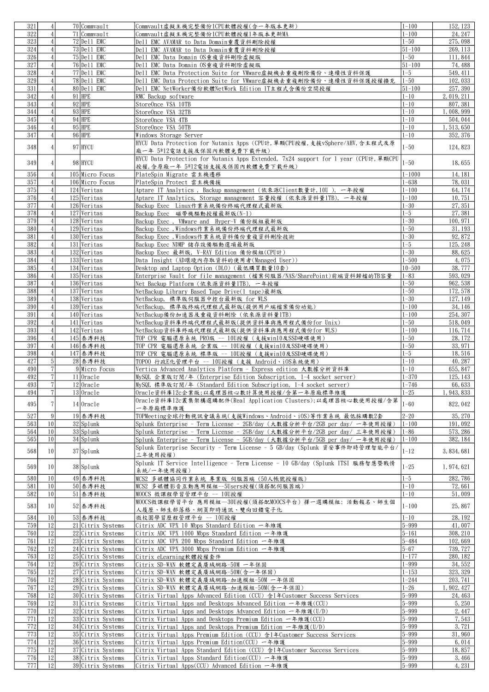| 321        |                  | 70 Commvault                           | Commvault虛擬主機完整備份1CPU軟體授權(含一年版本更新)                                                               | $1 - 100$              | 152, 123        |
|------------|------------------|----------------------------------------|--------------------------------------------------------------------------------------------------|------------------------|-----------------|
|            | $\overline{4}$   |                                        |                                                                                                  |                        |                 |
| 322        | $\vert$          | 71 Commyault                           | Commvault虛擬主機完整備份1CPU軟體授權1年版本更新MA                                                                | $1 - 100$              | 24, 247         |
| 323        | $\overline{4}$   | $72$ De11 EMC                          | Dell EMC AVAMAR to Data Domain重覆資料刪除授權                                                           | $1 - 50$               | 275, 098        |
| 324        | $\overline{4}$   | $73$ $De11$ EMC                        | Dell EMC AVAMAR to Data Domain重覆資料刪除授權                                                           | $\overline{51} - 100$  | 269, 113        |
| 326        | $\overline{4}$   | $75$ Dell EMC                          | Dell EMC Data Domain OS重複資料刪除虛擬版                                                                 | $1 - 50$               | 111,844         |
| 327        | $\overline{4}$   | 76 De 11 EMC                           |                                                                                                  | $\sqrt{51-100}$        | 74, 488         |
|            |                  |                                        | Dell EMC Data Domain OS重複資料刪除虛擬版                                                                 |                        |                 |
| 328        | $\overline{4}$   | $77$ $De11$ EMC                        | Dell EMC Data Protection Suite for VMware虚擬機去重複刪除備份、連續性資料保護                                      | $1 - 5$                | 549, 411        |
| 329        | $\overline{4}$   | 78 Dell EMC                            | Dell EMC Data Protection Suite for VMware虚擬機去重複刪除備份、連續性資料保護授權擴充                                  | $1 - 50$               | 102, 033        |
| 331        | $\overline{4}$   | $80$ De11 EMC                          | Dell EMC NetWorker備份軟體NetWork Edition 1T主程式含備份空間授權                                               | $51 - 100$             | 257, 390        |
| 342        | $\overline{4}$   | $91$ HPE                               | RMC Backup software                                                                              | $1 - 10$               | 2, 019, 211     |
| 343        | $\overline{4}$   | $92$ HPE                               |                                                                                                  | $1 - 10$               | 807, 381        |
|            |                  |                                        | StoreOnce VSA 10TB                                                                               |                        |                 |
| 344        | $\overline{4}$   | $93$ HPE                               | StoreOnce VSA 32TB                                                                               | $1 - 10$               | 1,008,999       |
| 345        | $\overline{4}$   | $94$ HPE                               | StoreOnce VSA 4TB                                                                                | $1 - 10$               | 504, 044        |
| 346        | $\vert$          | $95$ HPE                               | StoreOnce VSA 50TB                                                                               | $1 - 10$               | 1, 513, 650     |
| 347        | $\overline{4}$   | $96$ HPE                               | Windows Storage Server                                                                           | $1 - 10$               | 352, 376        |
|            |                  |                                        |                                                                                                  |                        |                 |
| 348        | $\overline{4}$   | 97 HYCU                                | HYCU Data Protection for Nutanix Apps (CPU計,單顆CPU授權,支援vSphere/AHV,含主程式及原                         | $1 - 50$               | 124,823         |
|            |                  |                                        | 廠一年 5*12電話支援及保固內軟體免費下載升級)                                                                        |                        |                 |
|            |                  | 98 HYCU                                | HYCU Data Protection for Nutanix Apps Extended, 7x24 support for 1 year (CPU計,單顆CPU              | $1 - 50$               |                 |
| 349        | 4                |                                        | 授權,含原廠一年 5*12電話支援及保固內軟體免費下載升級)                                                                   |                        | 18,655          |
| 356        | $\overline{4}$   | 105 Micro Focus                        | PlateSpin Migrate 雲主機遷移                                                                          | $1 - 1000$             | 14, 181         |
|            |                  |                                        |                                                                                                  |                        |                 |
| 357        | $\overline{4}$   | 106 Micro Focus                        | PlateSpin Protect 雲主機備援                                                                          | $1 - 638$              | 78,031          |
| 375        | $\overline{4}$   | 124 Veritas                            | Aptare IT Analytics, Backup management (依來源Client數量計, 10U), 一年授權                                 | $1 - 100$              | 64, 174         |
| 376        | $\overline{4}$   | $125$ Veritas                          | Aptare IT Analytics, Storage management 容量授權 (依來源資料量1TB), 一年授權                                   | $1 - 100$              | 10,751          |
| 377        | $\vert 4 \vert$  | 126 Veritas                            | Backup Exec Linux作業系統備份終端代理程式最新版                                                                 | $1 - 30$               | 27, 351         |
| 378        |                  | 127 Veritas                            |                                                                                                  | $1 - 5$                | 27, 381         |
|            | $\overline{4}$   |                                        | Backup Exec 磁帶機驅動授權最新版(N-1)                                                                      |                        |                 |
| 379        | $\vert 4 \vert$  | 128 Veritas                            | Backup Exec , VMware and Hyper-V 備份模組最新版                                                         | $1 - 30$               | 100, 971        |
| 380        | $\overline{4}$   | 129 Veritas                            | Backup Exec ,Windows作業系統備份終端代理程式最新版                                                              | $1 - 50$               | 31, 193         |
| 381        | $\overline{4}$   | 130 Veritas                            | Backup Exec, Windows作業系統資料備份重複資料刪除技術                                                             | $1 - 30$               | 92, 872         |
| 382        | $\overline{4}$   | 131 Veritas                            | Backup Exec NDMP 儲存設備驅動選項最新版                                                                     | $1 - 5$                | 125, 248        |
| 383        | $\overline{4}$   |                                        |                                                                                                  | $1 - 30$               |                 |
|            |                  | 132 Veritas                            | Backup Exec 最新版, V-RAY Edition 備份模組(CPU計)                                                        |                        | 88,625          |
| 384        | $\left 4\right $ | 133 Veritas                            | Data Insight (AD環境內存取資料的使用者(Managed User))                                                       | $1 - 500$              | 4,075           |
| 385        | $\overline{4}$   | 134 Veritas                            | Desktop and Laptop Option (DLO) (最低購買數量10套)                                                      | $10 - 500$             | 38, 777         |
| 386        | $\vert 4 \vert$  | 135 Veritas                            | Enterprise Vault for file management (檔案伺服器/NAS/SharePoint)前端資料歸檔的TB容量                           | $1 - 83$               | 593,029         |
| 387        | $\overline{4}$   | 136 Veritas                            | Net Backup Platform (依來源資料量1TB),一年授權                                                             | $1 - 50$               | 962, 538        |
|            |                  |                                        |                                                                                                  |                        |                 |
| 388        | $\overline{4}$   | 137 Veritas                            | NetBackup Library Based Tape Drive(1 tape)最新版                                                    | $1 - 50$               | 172, 578        |
| 389        | $\overline{4}$   | 138 Veritas                            | NetBackup, 標準版伺服器中控台最新版 for WLS                                                                  | $1 - 30$               | 127, 149        |
| 390        | $\overline{4}$   | $139$ Veritas                          | NetBackup, 標準版終端代理程式最新版(提供用戶端檔案備份功能)                                                             | $1 - 100$              | 34, 146         |
| 391        | $\vert 4 \vert$  | 140 Veritas                            | NetBackup備份加速器及重複資料刪除(依來源資料量1TB)                                                                 | $1 - 100$              | 254, 307        |
|            |                  |                                        |                                                                                                  |                        |                 |
| 392        | $\overline{4}$   | 141 Veritas                            | NetBackup資料庫終端代理程式最新版(提供資料庫與應用程式備份for Unix)                                                      | $1 - 50$               | 518, 049        |
| 393        | $\overline{4}$   | 142 Veritas                            | NetBackup資料庫終端代理程式最新版(提供資料庫與應用程式備份for WLS)                                                       | $1 - 100$              | 116, 714        |
| 396        | $\overline{4}$   | 145 泰溥科技                               | TOP CPR 電腦還原系統 PRO版 -- 10U授權(支援win10及SSD硬碟使用)                                                    | $1 - 50$               | 28, 172         |
| 397        | $\overline{4}$   | 146 泰溥科技                               | TOP CPR 電腦還原系統 企業版 -- 10U授權(支援win10及SSD硬碟使用)                                                     | $1 - 50$               | 33, 971         |
| 398        | $\vert 4 \vert$  | 147 泰溥科技                               |                                                                                                  | $1 - 5$                | 18,516          |
|            |                  |                                        | TOP CPR 電腦還原系統 標準版 -- 10U授權 (支援win10及SSD硬碟使用)                                                    |                        |                 |
| 427        | $\overline{5}$   | 28 泰溥科技                                | TOPOO 行政E化管理平台 -- 10U授權(支援 Android、iOS系統使用)                                                      | $1 - 10$               | 40, 287         |
| 490        | $\overline{7}$   | 9 Micro Focus                          | Vertica Advanced Analytics Platform - Express edition 大數據分析資料庫                                   | $1 - 10$               | 655, 847        |
| 492        | $\frac{7}{2}$    | $11$ Oracle                            | MySQL 企業版訂閱/年 (Enterprise Edition Subscription, 1-4 socket server)                               | $1 - 370$              | 125, 143        |
| 493        | $\overline{7}$   | $12$ Oracle                            | MySQL 標準版訂閱/年(Standard Edition Subscription, 1-4 socket server)                                  | $1 - 746$              | 66,633          |
|            |                  |                                        |                                                                                                  |                        |                 |
| 494        | 7                | $13$ Oracle                            | Oracle資料庫12c企業版;以處理器核心數計算使用授權/含第一年原廠標準維護                                                         | $1 - 25$               | 1, 943, 833     |
| 495        | 7 <sup>1</sup>   | $14$ Oracle                            | Oracle資料庫12c叢集架構選購配件(Real Application Clusters);以處理器核心數使用授權/含第                                   | $1 - 60$               | 822, 042        |
|            |                  |                                        | 一年原廠標準維護                                                                                         |                        |                 |
| 527        | $\vert 9 \vert$  | 19 泰溥科技                                | TOPMeeting全球行動視訊會議系統(支援Windows、Android、iOS)等作業系統 最低採購數2套                                         | $2 - 20$               | 35, 270         |
| 563        | 10               | $32$ Splunk                            | Splunk Enterprise - Term License - 2GB/day (大數據分析平台/2GB per day/ 一年使用授權)                         | $1 - 100$              | 191,092         |
|            |                  |                                        |                                                                                                  |                        |                 |
| 564        | 10               | $33$ Splunk                            | Splunk Enterprise - Term License - 2GB/day (大數據分析平台/2GB per day/ 三年使用授權)                         | $1 - 86$               | 573, 286        |
| 565        | 10               | $34$ Sp <sub>1unk</sub>                | Splunk Enterprise - Term License - 5GB/day (大數據分析平台/5GB per day/ 一年使用授權)                         | $1 - 100$              | 382, 184        |
|            |                  |                                        | Splunk Enterprise Security - Term License - 5 GB/day (Splunk 資安事件即時管理智能平台/                       |                        |                 |
| 568        | 10 <sup>1</sup>  | $37$ Splunk                            | 三年使用授權)                                                                                          | $1 - 12$               | 3, 834, 681     |
|            |                  |                                        | Splunk IT Service Intelligence - Term License - 10 GB/day (Splunk ITSI 服務智慧暨戰情                   |                        |                 |
| 569        | 10 <sup>1</sup>  | $38$ Splunk                            |                                                                                                  | $1 - 25$               | 1, 974, 621     |
|            |                  |                                        | 系統/一年使用授權)                                                                                       |                        |                 |
| 580        | 10 <sup>1</sup>  | 49 泰溥科技                                | MCS2 多媒體協同作業系統 專業版 伺服器端 (50人帳號授權版)                                                               | $1 - 5$                | 282, 786        |
|            |                  |                                        |                                                                                                  |                        | 72,661          |
| 581        | 10 <sup>1</sup>  | 50 泰溥科技                                |                                                                                                  | $1 - 10$               |                 |
|            |                  |                                        | MCS2 多媒體影音互動應用模組--5Users授權(須搭配伺服器端)                                                              |                        |                 |
| 582        | 10 <sup>1</sup>  | $51$ 泰溥科技                              | MOOCS 微課程學習管理平台 -- 10U授權                                                                         | $1 - 10$               | 51,009          |
| 583        | 10               | $52$ 泰溥科技                              | MOOCS微課程學習平台 應用模組-30U授權(須搭配MOOCS平台) 擇一選購模組: 活動報名、師生個                                             | $1 - 100$              | 25,867          |
|            |                  |                                        | 人履歷、師生部落格、網頁即時通訊、雙向回饋電子化                                                                         |                        |                 |
| 584        | 10               | 53 泰溥科技                                | 微校園學習歷程管理平台 -- 10U授權                                                                             | $1 - 10$               | 28, 192         |
| 759        | 12               | 21 Citrix Systems                      | Citrix ADC VPX 10 Mbps Standard Edition 一年維護                                                     | $5 - 999$              | 41,007          |
|            |                  |                                        |                                                                                                  |                        |                 |
| 760        | 12               | 22 Citrix Systems                      | Citrix ADC VPX 1000 Mbps Standard Edition 一年维護                                                   | $5 - 161$              | 308, 210        |
| 761        | 12               | 23 Citrix Systems                      | Citrix ADC VPX 200 Mbps Standard Edition 一年維護                                                    | $5 - 484$              | 102,669         |
| 762        | 12               | 24 Citrix Systems                      | Citrix ADC VPX 3000 Mbps Premium Edition 一年維護                                                    | $5 - 67$               | 739, 727        |
| 763        | 12               | 25 Citrix Systems                      | Citrix eLearning軟體授權套件                                                                           | $1 - 177$              | 280, 182        |
| 764        |                  |                                        |                                                                                                  |                        | 34, 552         |
|            | 12               | 26 Citrix Systems                      | Citrix SD-WAN 軟體定義廣域網路-50M 一年保固                                                                  | $1 - 999$              |                 |
| 765        | 12               | 27 Citrix Systems                      | Citrix SD-WAN 軟體定義廣域網路-50M(含一年保固)                                                                | $1 - 153$              | 323, 329        |
| 766        | 12               | 28 Citrix Systems                      | Citrix SD-WAN 軟體定義廣域網路-加速模組-50M 一年保固                                                             | $1 - 244$              | 203, 741        |
| 767        | 12               | 29 Citrix Systems                      | Citrix SD-WAN 軟體定義廣域網路-加速模組-50M(含一年保固)                                                           | $1 - 26$               | 1, 902, 427     |
| 768        | 12               | 30 Citrix Systems                      | Citrix Virtual Apps Advanced Edition (CCU) 含1年Customer Success Services                          | $5 - 999$              | 24, 463         |
| 769        |                  |                                        |                                                                                                  |                        | 5, 250          |
|            | 12               | 31 Citrix Systems                      | Citrix Virtual Apps and Desktops Advanced Edition 一年維護(CCU)                                      | $5 - 999$              |                 |
| 770        | 12               | 32 Citrix Systems                      | Citrix Virtual Apps and Desktops Advanced Edition 一年維護(U/D)                                      | $5 - 999$              | 2, 447          |
| 771        | 12               | 33 Citrix Systems                      | Citrix Virtual Apps and Desktops Premium Edition 一年維護(CCU)                                       | $5 - 999$              | 7,543           |
| 772        | 12               | 34 Citrix Systems                      | Citrix Virtual Apps and Desktops Premium Edition 一年維護(U/D)                                       | $5 - 999$              | 3,721           |
| 773        | 12               | 35 Citrix Systems                      | Citrix Virtual Apps Premium Edition (CCU) 含1年Customer Success Services                           |                        | 31,960          |
|            |                  |                                        |                                                                                                  | $5 - 999$              |                 |
| 774        | 12               | 36 Citrix Systems                      | Citrix Virtual Apps Premium Edition(CCU) 一年維護                                                    | $5 - 999$              | 6,014           |
| 775        | 12               | 37 Citrix Systems                      | Citrix Virtual Apps Standard Edition (CCU) 含1年Customer Success Services                          | $5 - 999$              | 18,857          |
| 776<br>777 | 12<br> 12        | 38 Citrix Systems<br>39 Citrix Systems | Citrix Virtual Apps Standard Edition(CCU) 一年維護<br>Citrix Virtual Apps(CCU) Advanced Edition 一年維護 | $5 - 999$<br>$5 - 999$ | 3,466<br>4, 231 |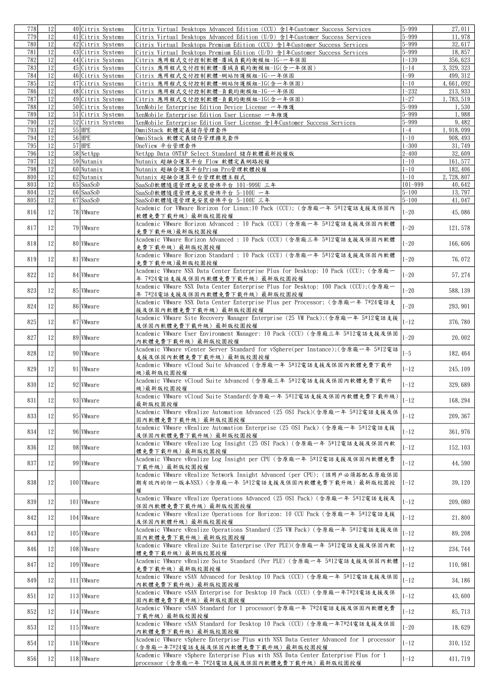| 778        | 12                    | 40 Citrix Systems                      | Citrix Virtual Desktops Advanced Edition (CCU) 含1年Customer Success Services                                                                              | $5 - 999$              | 27, 011            |
|------------|-----------------------|----------------------------------------|----------------------------------------------------------------------------------------------------------------------------------------------------------|------------------------|--------------------|
| 779        | 12                    | 41 Citrix Systems                      | Citrix Virtual Desktops Advanced Edition (U/D) 含1年Customer Success Services                                                                              | $5 - 999$              | 11,978             |
| 780<br>781 | $\overline{12}$<br>12 | 42 Citrix Systems<br>43 Citrix Systems | Citrix Virtual Desktops Premium Edition (CCU) 含1年Customer Success Services<br>Citrix Virtual Desktops Premium Edition (U/D) 含1年Customer Success Services | $5 - 999$<br>$5 - 999$ | 32, 617<br>18,857  |
| 782        | 12                    | 44 Citrix Systems                      | Citrix 應用程式交付控制軟體-廣域負載均衡模組-1G-一年保固                                                                                                                       | $1 - 139$              | 356, 623           |
| 783        | 12                    | 45 Citrix Systems                      | Citrix 應用程式交付控制軟體-廣域負載均衡模組-1G(含一年保固)                                                                                                                     | $1 - 14$               | 3, 329, 323        |
| 784        | 12                    | 46 Citrix Systems                      | Citrix 應用程式交付控制軟體-網站防護模組-1G-一年保固                                                                                                                         | $1 - 99$               | 499, 312           |
| 785        | 12                    | 47 Citrix Systems                      | Citrix 應用程式交付控制軟體-網站防護模組-1G(含一年保固)                                                                                                                       | $1 - 10$               | 4,661,092          |
| 786        | 12                    | 48 Citrix Systems                      | Citrix 應用程式交付控制軟體-負載均衡模組-1G-一年保固                                                                                                                         | $1 - 232$              | 213, 933           |
| 787<br>788 | 12<br>12              | 49 Citrix Systems<br>50 Citrix Systems | Citrix 應用程式交付控制軟體-負載均衡模組-1G(含一年保固)<br>XenMobile Enterprise Edition Device License 一年維護                                                                   | $1 - 27$<br>$5 - 999$  | 1,783,519<br>1,530 |
| 789        | $\overline{12}$       | 51 Citrix Systems                      | XenMobile Enterprise Edition User License 一年維護                                                                                                           | $5 - 999$              | 1,988              |
| 790        | $\overline{12}$       | 52 Citrix Systems                      | XenMobile Enterprise Edition User License 含1年Customer Success Services                                                                                   | $5 - 999$              | 9,482              |
| 793        | 12                    | $55$ HPE                               | OmniStack 軟體定義儲存管理套件                                                                                                                                     | $1 - 4$                | 1, 918, 099        |
| 794        | 12                    | $56$ HPE                               | OmniStack 軟體定義儲存管理擴充套件                                                                                                                                   | $1 - 10$               | 908, 493           |
| 795<br>796 | $\overline{12}$<br>12 | $57$ HPE<br>$58$ NetApp                | OneView 平台管理套件<br>NetApp Data ONTAP Select Standard 儲存軟體最新授權版                                                                                            | $1 - 300$<br>$2 - 400$ | 31,749<br>32,609   |
| 797        | 12                    | $59$ Nutanix                           | Nutanix 超融合運算平台 Flow 軟體定義網路授權                                                                                                                            | $1 - 10$               | 161, 577           |
| 798        | $12\,$                | 60 Nutanix                             | Nutanix 超融合運算平台Prism Pro管理軟體授權                                                                                                                           | $1 - 10$               | 182, 406           |
| 800        | 12                    | 62 Nutanix                             | Nutanix 超融合運算平台管理軟體主程式                                                                                                                                   | $1 - 10$               | 2,728,807          |
| 803        | 12                    | 65 SaaSoD                              | SaaSoD軟體隨選管理免安裝發佈平台 101-999U 三年                                                                                                                          | $101 - 999$            | 40,642             |
| 804<br>805 | 12<br>$\overline{12}$ | 66 SaaSoD<br>67 SaaSoD                 | SaaSoD軟體隨選管理免安裝發佈平台 5-100U 一年<br>SaaSoD軟體隨選管理免安裝發佈平台 5-100U 三年                                                                                           | $5 - 100$<br>$5 - 100$ | 13,797<br>41,047   |
|            |                       |                                        | Academic for VMware Horizon for Linux:10 Pack (CCU); (含原廠一年 5*12電話支援及保固內                                                                                 |                        |                    |
| 816        | 12                    | 78 VMware                              | 軟體免費下載升級)最新版校園授權                                                                                                                                         | $1 - 20$               | 45,086             |
| 817        | 12                    | 79 Wware                               | Academic VMware Horizon Advanced : 10 Pack (CCU) (含原廠一年 5*12電話支援及保固內軟體                                                                                   | $1 - 20$               | 121, 578           |
|            |                       |                                        | 免費下載升級)最新版校園授權                                                                                                                                           |                        |                    |
| 818        | 12                    | 80 Wware                               | Academic VMware Horizon Advanced : 10 Pack (CCU) (含原廠三年 5*12電話支援及保固內軟體                                                                                   | $1 - 20$               | 166,606            |
|            |                       |                                        | 免費下載升級)最新版校園授權<br>Academic VMware Horizon Standard : 10 Pack (CCU) (含原廠一年 5*12電話支援及保固內軟體                                                                 |                        |                    |
| 819        | 12                    | 81 Wware                               | 免費下載升級)最新版校園授權                                                                                                                                           | $1 - 20$               | 76,072             |
| 822        | 12                    | 84 Wware                               | Academic VMware NSX Data Center Enterprise Plus for Desktop: 10 Pack (CCU); (含原廠一                                                                        | $1 - 20$               | 57, 274            |
|            |                       |                                        | 年 7*24電話支援及保固內軟體免費下載升級) 最新版校園授權                                                                                                                          |                        |                    |
| 823        | 12                    | 85 Wware                               | Academic VMware NSX Data Center Enterprise Plus for Desktop: 100 Pack (CCU);(含原廠一<br>年 7*24電話支援及保固內軟體免費下載升級) 最新版校園授權                                     | $1 - 20$               | 588, 139           |
|            |                       |                                        | Academic VMware NSX Data Center Enterprise Plus per Processor; (含原廠一年 7*24電話支                                                                            |                        |                    |
| 824        | 12                    | 86 Wware                               | 援及保固內軟體免費下載升級)最新版校園授權                                                                                                                                    | $1 - 20$               | 293, 901           |
| 825        | 12                    | 87 Wware                               | Academic VMware Site Recovery Manager Enterprise (25 VM Pack);(含原廠一年 5*12電話支援                                                                            | $1 - 12$               | 376, 780           |
|            |                       |                                        | 及保固内軟體免費下載升級)最新版校園授權<br>Academic VMware User Environment Manager: 10 Pack (CCU) (含原廠三年 5*12電話支援及保固                                                       |                        |                    |
| 827        | 12                    | 89 Wware                               | 內軟體免費下載升級)最新版校園授權                                                                                                                                        | $1 - 20$               | 20,002             |
| 828        | 12                    | 90 Wware                               | Academic VMware vCenter Server Standard for vSphere(per Instance);(含原廠一年 5*12電話                                                                          | $1 - 5$                | 182, 464           |
|            |                       |                                        | 支援及保固內軟體免費下載升級)最新版校園授權                                                                                                                                   |                        |                    |
| 829        | 12                    | 91 Wware                               | Academic VMware vCloud Suite Advanced (含原廠一年 5*12電話支援及保固內軟體免費下載升<br>級)最新版校園授權                                                                            | $1 - 12$               | 245, 109           |
|            | 12                    | 92 Wware                               | Academic VMware vCloud Suite Advanced (含原廠三年 5*12電話支援及保固內軟體免費下載升                                                                                         | $1 - 12$               | 329,689            |
| 830        |                       |                                        | 級)最新版校園授權                                                                                                                                                |                        |                    |
| 831        | 12                    | 93 VMware                              | Academic VMware vCloud Suite Standard(含原廠一年 5*12電話支援及保固內軟體免費下載升級)                                                                                        | $1 - 12$               | 168, 294           |
|            |                       |                                        | 最新版校園授權<br>Academic VMware vRealize Automation Advanced (25 OSI Pack)(含原廠一年 5*12電話支援及保                                                                   |                        |                    |
| 833        | 12                    | 95 VMware                              | 固内軟體免費下載升級)最新版校園授權                                                                                                                                       | $1 - 12$               | 209, 367           |
| 834        | 12                    | 96 Wware                               | Academic VMware vRealize Automation Enterprise (25 OSI Pack) (含原廠一年 5*12電話支援                                                                             | $1 - 12$               | 361, 976           |
|            |                       |                                        | 及保固內軟體免費下載升級)最新版校園授權<br>Academic VMware vRealize Log Insight (25 OSI Pack) (含原廠一年 5*12電話支援及保固內軟                                                          |                        |                    |
| 836        | 12                    | 98 Wware                               | 體免費下載升級)最新版校園授權                                                                                                                                          | $1 - 12$               | 152, 103           |
| 837        | 12                    | 99 Wware                               | Academic VMware vRealize Log Insight per CPU (含原廠一年 5*12電話支援及保固內軟體免費                                                                                     | $1 - 12$               | 44,590             |
|            |                       |                                        | 下載升級)最新版校園授權                                                                                                                                             |                        |                    |
| 838        | 12                    | 100 Wware                              | Academic VMware vRealize Network Insight Advanced (per CPU); (該用戶必須搭配在原廠保固<br>期有效内的任一版本NSX)(含原廠一年 5*12電話支援及保固內軟體免費下載升級) 最新版校園授                           | $1 - 12$               | 39, 120            |
|            |                       |                                        | 權                                                                                                                                                        |                        |                    |
| 839        | 12                    | 101 Wware                              | Academic VMware vRealize Operations Advanced (25 OSI Pack) (含原廠一年 5*12電話支援及                                                                              | $1 - 12$               | 209,080            |
|            |                       |                                        | 保固內軟體免費下載升級)最新版校園授權                                                                                                                                      |                        |                    |
| 842        | 12                    | 104 Wware                              | Academic VMware vRealize Operations for Horizon: 10 CCU Pack (含原廠一年 5*12電話支援                                                                             | $1 - 12$               | 21,800             |
|            |                       |                                        | 及保固內軟體升級)最新版校園授權<br>Academic VMware vRealize Operations Standard (25 VM Pack) (含原廠一年 5*12電話支援及保                                                          |                        |                    |
| 843        | 12                    | 105 Wware                              | 固內軟體免費下載升級)最新版校園授權                                                                                                                                       | $1 - 12$               | 89, 208            |
| 846        | 12                    | 108 Wware                              | Academic VMware vRealize Suite Enterprise (Per PLU)(含原廠一年 5*12電話支援及保固內軟                                                                                  | $1 - 12$               | 234, 744           |
|            |                       |                                        | 體免費下載升級)最新版校園授權<br>Academic VMware vRealize Suite Standard (Per PLU) (含原廠一年 5*12電話支援及保固內軟體                                                               |                        |                    |
| 847        | 12                    | 109 Wware                              | 免費下載升級)最新版校園授權                                                                                                                                           | $1 - 12$               | 110,981            |
| 849        | 12                    | 111 Wware                              | Academic VMware vSAN Advanced for Desktop 10 Pack (CCU) (含原廠一年 5*12電話支援及保固                                                                               | $1 - 12$               | 34, 186            |
|            |                       |                                        | 內軟體免費下載升級)最新版校園授權                                                                                                                                        |                        |                    |
| 851        | 12                    | 113 Wware                              | Academic VMware vSAN Enterprise for Desktop 10 Pack (CCU) (含原廠一年7*24電話支援及保<br>固内軟體免費下載升級) 最新版校園授權                                                        | $1 - 12$               | 43,600             |
|            |                       |                                        | Academic VMware vSAN Standard for 1 processor(含原廠一年 7*24電話支援及保固內軟體免費                                                                                     |                        |                    |
| 852        | 12                    | 114 Wware                              | 下載升級)最新版校園授權                                                                                                                                             | $1 - 12$               | 85, 713            |
| 853        | 12                    | 115 Wware                              | Academic VMware vSAN Standard for Desktop 10 Pack (CCU) (含原廠一年7*24電話支援及保固                                                                                | $1 - 20$               | 18,629             |
|            |                       |                                        | 內軟體免費下載升級)最新版校園授權<br>Academic VMware vSphere Enterprise Plus with NSX Data Center Advanced for 1 processor                                               |                        |                    |
| 854        | 12                    | 116 Wware                              | (含原廠一年7*24電話支援及保固內軟體免費下載升級) 最新版校園授權                                                                                                                      | $1 - 12$               | 310, 152           |
| 856        | 12                    | 118 Wware                              | Academic VMware vSphere Enterprise Plus with NSX Data Center Enterprise Plus for 1                                                                       | $1 - 12$               | 411, 719           |
|            |                       |                                        | processor (含原廠一年 7*24電話支援及保固內軟體免費下載升級) 最新版校園授權                                                                                                           |                        |                    |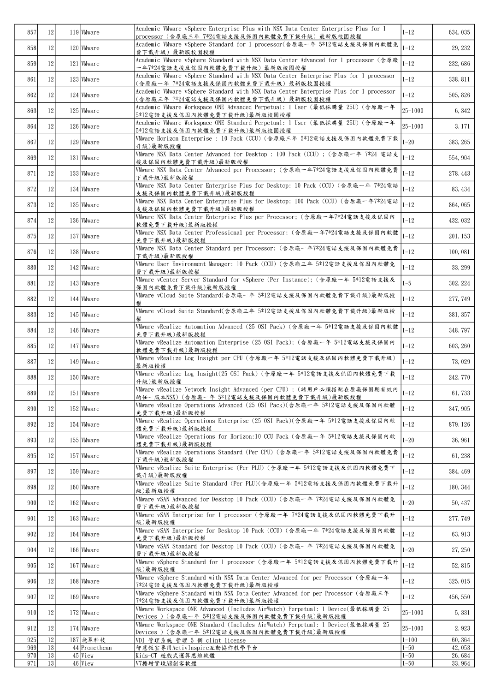| 857        | 12            | 119 Wware                 | Academic VMware vSphere Enterprise Plus with NSX Data Center Enterprise Plus for 1                                            | $1 - 12$              | 634, 035          |
|------------|---------------|---------------------------|-------------------------------------------------------------------------------------------------------------------------------|-----------------------|-------------------|
|            |               | 120 Wware                 | processor (含原廠三年 7*24電話支援及保固內軟體免費下載升級) 最新版校園授權<br>Academic VMware vSphere Standard for 1 processor(含原廠一年 5*12電話支援及保固內軟體免      | $1 - 12$              | 29, 232           |
| 858        | 12            |                           | 費下載升級)最新版校園授權<br>Academic VMware vSphere Standard with NSX Data Center Advanced for 1 processor (含原廠                          |                       |                   |
| 859        | 12            | 121 Wware                 | 一年7*24電話支援及保固內軟體免費下載升級)最新版校園授權                                                                                                | $1 - 12$              | 232,686           |
| 861        | 12            | 123 Wware                 | Academic VMware vSphere Standard with NSX Data Center Enterprise Plus for 1 processor<br>(含原廠一年 7*24電話支援及保固內軟體免費下載升級) 最新版校園授權 | $1 - 12$              | 338, 811          |
| 862        | 12            | 124 Wware                 | Academic VMware vSphere Standard with NSX Data Center Enterprise Plus for 1 processor<br>(含原廠三年 7*24電話支援及保固內軟體免費下載升級)最新版校園授權  | $1 - 12$              | 505, 826          |
| 863        | 12            | 125 Wware                 | Academic VMware Workspace ONE Advanced Perpetual: 1 User (最低採購量 25U) (含原廠一年<br>5*12電話支援及保固內軟體免費下載升級)最新版校園授權                   | 25-1000               | 6, 342            |
| 864        | 12            | 126 Wware                 | Academic VMware Workspace ONE Standard Perpetual: 1 User (最低採購量 25U) (含原廠一年<br>5*12電話支援及保固內軟體免費下載升級)最新版校園授權                   | 25-1000               | 3, 171            |
| 867        | 12            | 129 Wware                 | VMware Horizon Enterprise : 10 Pack (CCU) (含原廠三年 5*12電話支援及保固內軟體免費下載                                                           | $1 - 20$              | 383, 265          |
| 869        | 12            | 131 Wware                 | 升級)最新版授權<br>VMware NSX Data Center Advanced for Desktop: 100 Pack (CCU); (含原廠一年 7*24 電話支                                      | $1 - 12$              | 554, 904          |
| 871        | 12            | 133 Wware                 | 援及保固內軟體免費下載升級)最新版授權<br>VMware NSX Data Center Advanced per Processor; (含原廠一年7*24電話支援及保固內軟體免費                                  | $1 - 12$              | 278, 443          |
| 872        |               | 134 Wware                 | 下載升級)最新版授權<br>VMware NSX Data Center Enterprise Plus for Desktop: 10 Pack (CCU) (含原廠一年 7*24電話                                 | $1 - 12$              |                   |
|            | 12            |                           | 支援及保固內軟體免費下載升級)最新版授權<br>VMware NSX Data Center Enterprise Plus for Desktop: 100 Pack (CCU) (含原廠一年7*24電話                       |                       | 83, 434           |
| 873        | 12            | 135 Wware                 | 支援及保固內軟體免費下載升級)最新版授權                                                                                                          | $1 - 12$              | 864, 065          |
| 874        | 12            | 136 Wware                 | VMware NSX Data Center Enterprise Plus per Processor; (含原廠一年7*24電話支援及保固內<br>軟體免費下載升級)最新版授權                                    | $1 - 12$              | 432, 032          |
| 875        | 12            | 137 Wware                 | VMware NSX Data Center Professional per Processor; (含原廠一年7*24電話支援及保固內軟體<br>免費下載升級)最新版授權                                       | $1 - 12$              | 201, 153          |
| 876        | 12            | 138 VMware                | VMware NSX Data Center Standard per Processor; (含原廠一年7*24電話支援及保固內軟體免費<br>下载升级)最新版授權                                           | $1 - 12$              | 100, 081          |
| 880        | 12            | 142 Wware                 | VMware User Environment Manager: 10 Pack (CCU) (含原廠三年 5*12電話支援及保固內軟體免<br>費下載升級)最新版授權                                          | $1 - 12$              | 33, 299           |
| 881        | 12            | 143 Wware                 | VMware vCenter Server Standard for vSphere (Per Instance); (含原廠一年 5*12電話支援及<br>保固內軟體免費下載升級)最新版授權                              | $1 - 5$               | 302, 224          |
| 882        | 12            | 144 Wware                 | VMware vCloud Suite Standard(含原廠一年 5*12電話支援及保固內軟體免費下載升級)最新版授                                                                  | $1 - 12$              | 277, 749          |
| 883        | 12            | 145 Wware                 | VMware vCloud Suite Standard(含原廠三年 5*12電話支援及保固內軟體免費下載升級)最新版授<br>權                                                             | $1 - 12$              | 381, 357          |
| 884        | 12            | 146 Wware                 | VMware vRealize Automation Advanced (25 OSI Pack) (含原廠一年 5*12電話支援及保固內軟體<br>免費下載升級)最新版授權                                       | $1 - 12$              | 348, 797          |
| 885        | 12            | 147 Wware                 | VMware vRealize Automation Enterprise (25 OSI Pack); (含原廠一年 5*12電話支援及保固內<br>軟體免費下載升級)最新版授權                                    | $1 - 12$              | 603, 260          |
| 887        | 12            | 149 Wware                 | Wware vRealize Log Insight per CPU (含原廠一年 5*12電話支援及保固內軟體免費下載升級)<br>最新版授權                                                      | $1 - 12$              | 73,029            |
| 888        | 12            | 150 Wware                 | VMware vRealize Log Insight(25 OSI Pack) (含原廠一年 5*12電話支援及保固內軟體免費下載<br>升級)最新版授權                                                | $1 - 12$              | 242, 770          |
| 8891       | <sup>12</sup> | 151 VMware                | VMware vRealize Network Insight Advanced (per CPU) ; (該用戶必須搭配在原廠保固期有效內                                                        | 11-12                 | 61, 733           |
| 890        | 12            | 152 Wware                 | 的任一版本NSX) (含原廠一年 5*12電話支援及保固內軟體免費下載升級)最新版授權<br>Wware vRealize Operations Advanced (25 OSI Pack)(含原廠一年 5*12電話支援及保固內軟體          | $1 - 12$              | 347, 905          |
| 892        | 12            | 154 VMware                | 免費下載升級)最新版授權<br>Wware vRealize Operations Enterprise (25 OSI Pack)(含原廠一年 5*12電話支援及保固內軟                                        | $1 - 12$              | 879, 126          |
| 893        | 12            | 155 Wware                 | 體免費下載升級)最新版授權<br> VMware vRealize Operations for Horizon:10 CCU Pack (含原廠一年 5*12電話支援及保固內軟                                     | $1 - 20$              | 36, 961           |
| 895        | 12            | 157 Wware                 | 體免費下載升級)最新版授權<br>VMware vRealize Operations Standard (Per CPU) (含原廠一年 5*12電話支援及保固內軟體免費                                        | $1 - 12$              | 61, 238           |
|            |               |                           | 下载升级)最新版授權<br>VMware vRealize Suite Enterprise (Per PLU) (含原廠一年 5*12電話支援及保固內軟體免費下                                             |                       |                   |
| 897        | 12            | 159 Wware                 | 載升級)最新版授權<br>VMware vRealize Suite Standard (Per PLU)(含原廠一年 5*12電話支援及保固內軟體免費下載升                                               | $1 - 12$              | 384, 469          |
| 898        | 12            | 160 Wware                 | 級)最新版授權<br>VMware vSAN Advanced for Desktop 10 Pack (CCU) (含原廠一年 7*24電話支援及保固內軟體免                                              | $1 - 12$              | 180, 344          |
| 900        | 12            | 162 Wware                 | 費下載升級)最新版授權                                                                                                                   | $1 - 20$              | 50, 437           |
| 901        | 12            | 163 Wware                 | VMware vSAN Enterprise for 1 processor (含原廠一年 7*24電話支援及保固內軟體免費下載升<br>級)最新版授權                                                  | $1 - 12$              | 277, 749          |
| 902        | 12            | 164 Wware                 | VMware vSAN Enterprise for Desktop 10 Pack (CCU) (含原廠一年 7*24電話支援及保固內軟體<br>免費下載升級)最新版授權                                        | $1 - 12$              | 63, 913           |
| 904        | 12            | 166 Wware                 | VMware vSAN Standard for Desktop 10 Pack (CCU) (含原廠一年 7*24電話支援及保固內軟體免<br>費下載升級)最新版授權                                          | $1 - 20$              | 27, 250           |
| 905        | 12            | 167 Wware                 | VMware vSphere Standard for 1 processor (含原廠一年 5*12電話支援及保固內軟體免費下載升<br>級)最新版授權                                                 | $1 - 12$              | 52, 815           |
| 906        | 12            | 168 Wware                 | VMware vSphere Standard with NSX Data Center Advanced for per Processor (含原廠一年<br>7*24電話支援及保固內軟體免費下載升級)最新版授權                  | $1 - 12$              | 325, 015          |
| 907        | 12            | 169 Wware                 | VMware vSphere Standard with NSX Data Center Advanced for per Processor (含原廠三年<br>7*24電話支援及保固內軟體免費下載升級)最新版授權                  | $1 - 12$              | 456, 550          |
| 910        | 12            | 172 Wware                 | VMware Workspace ONE Advanced (Includes AirWatch) Perpetual: 1 Device(最低採購量 25<br>Devices ) (含原廠一年 5*12電話支援及保固內軟體免費下載升級)最新版授權 | $25 - 1000$           | 5, 331            |
| 912        | 12            | 174 VMware                | VMware Workspace ONE Standard (Includes AirWatch) Perpetual: 1 Device(最低採購量 25<br>Devices ) (含原廠一年 5*12電話支援及保固內軟體免費下載升級)最新版授權 | 25-1000               | 2,923             |
| 925<br>969 | 12 <br> 13    | 187 飛幕科技<br>44 Promethean | VDI 管理系統 管理 5 個 clint license                                                                                                 | $1 - 100$<br>$1 - 50$ | 60, 364<br>42,053 |
| 970        | 13            | $45$ View                 | 智慧教室專用ActivInspire互動協作教學平台<br> Kids-CT 遊戲式運算思維軟體                                                                              | $1 - 50$              | 26,684            |
| 971        | 13            | $46$ View                 | V7擴增實境AR創客軟體                                                                                                                  | 1-50                  | 33, 964           |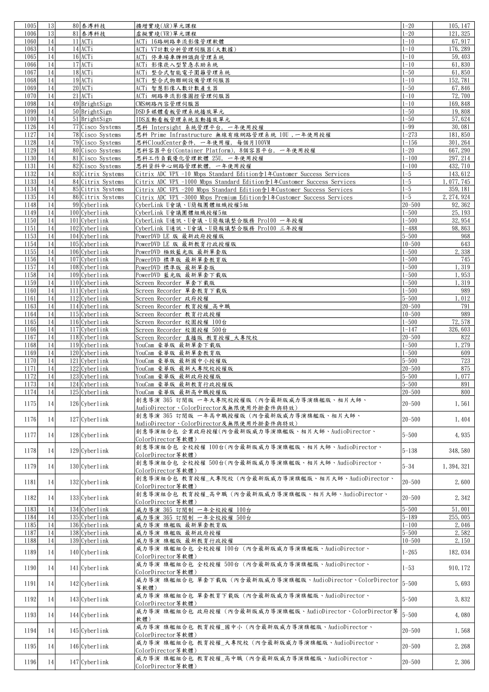| 1005 | 13            | 80 泰溥科技                    | 擴增實境(AR)單元課程                                                              | $1 - 20$   | 105, 147    |
|------|---------------|----------------------------|---------------------------------------------------------------------------|------------|-------------|
| 1006 | 13            | 81 泰溥科技                    | 虚擬實境(VR)單元課程                                                              | $1 - 20$   | 121, 325    |
| 1060 | 14            | $11$ ACT <sub>i</sub>      | ACTi 16路網路串流影像管理軟體                                                        | $1 - 10$   | 67, 917     |
| 1063 | 14            | $14$ ACTi                  | ACTi V7計數分析管理伺服器(大數據)                                                     | $1 - 10$   | 176, 289    |
| 1065 | 14            | $16$ ACTi                  | ACTi 停車場車牌辨識與管理系統                                                         | $1 - 10$   | 59, 403     |
| 1066 | 14            | $17$ ACTi                  | ACTi 影像崁入型緊急求助系統                                                          | $1 - 10$   | 61,830      |
| 1067 | 14            | 18 ACTi                    | ACTi 整合式智能電子圍籬管理系統                                                        | $1 - 50$   | 61,850      |
| 1068 | 14            | $19$ ACTi                  |                                                                           | $1 - 10$   | 152, 781    |
|      |               | $20$ ACT <sub>i</sub>      | ACTi 整合式物聯網設備管理伺服器                                                        |            |             |
| 1069 | 14            |                            | ACTi 智慧影像人數計數產生器                                                          | $1 - 50$   | 67,846      |
| 1070 | 14            | $21$ ACT <sub>i</sub>      | ACTi 網路串流影像圖控管理伺服器                                                        | $1 - 10$   | 72,700      |
| 1098 | 14            | 49 BrightSign              | CMS網路內容管理伺服器                                                              | $1 - 10$   | 169, 848    |
| 1099 | 14            | $50$ BrightSign            | DSD多媒體看板管理系統播放單元                                                          | $1 - 50$   | 19,808      |
| 1100 | 14            | $51$ <i>BrightSign</i>     | IDS互動看板管理系統互動播放單元                                                         | $1 - 50$   | 57,624      |
| 1126 | 14            | 77 Cisco Systems           | 思科 Intersight 系統管理平台, 一年使用授權                                              | $1 - 99$   | 30,081      |
| 1127 | 14            | 78 Cisco Systems           | 思科 Prime Infrastructure 無線有線網路管理系統 10U, 一年使用授權                            | $1 - 273$  | 181,850     |
| 1128 | 14            | 79 Cisco Systems           | 思科CloudCenter套件, 一年使用權, 每個月100VM                                          | $1 - 156$  | 301, 264    |
| 1129 | 14            | 80 Cisco Systems           | 思科容器平台(Container Platform), 8個容器平台, 一年使用授權                                | $1 - 20$   | 667, 290    |
| 1130 | 14            | 81 Cisco Systems           | 思科工作負載優化管理軟體 25U, 一年使用授權                                                  | $1 - 100$  | 297, 214    |
| 1131 | 14            | 82 Cisco Systems           | 思科資料中心網路管理軟體, 一年使用授權                                                      | $1 - 100$  | 432, 710    |
| 1132 | 14            | 83 Citrix Systems          | Citrix ADC VPX -10 Mbps Standard Edition含1年Customer Success Services      | $1 - 5$    | 143, 612    |
| 1133 | 14            | 84 Citrix Systems          | Citrix ADC VPX -1000 Mbps Standard Edition \$14 Customer Success Services | $1 - 5$    | 1, 077, 745 |
| 1134 | 14            | 85 Citrix Systems          | Citrix ADC VPX -200 Mbps Standard Edition \$1年Customer Success Services   | $1 - 5$    | 359, 181    |
| 1135 | 14            | 86 Citrix Systems          | Citrix ADC VPX -3000 Mbps Premium Edition含1年Customer Success Services     | $1 - 5$    | 2, 274, 924 |
| 1148 | 14            | $99$ Cyberlink             | CyberLink U會議、U簡報團體組織授權5組                                                 | $20 - 500$ | 92, 362     |
| 1149 | 14            | $100$ Cyberlink            | CyberLink U會議團體組織授權5組                                                     | $1 - 500$  | 25, 193     |
| 1150 | 14            | $101$ Cyberlink            | CyberLink U通訊、U會議、U簡報議整合服務 Pro100 一年授權                                    | $1 - 500$  | 32, 954     |
| 1151 | 14            | 102 Cyberlink              | CyberLink U通訊、U會議、U簡報議整合服務 Pro100 三年授權                                    | $1 - 488$  | 98,863      |
| 1153 | 14            | $104$ Cyberlink            | PowerDVD LE 版 最新政府授權版                                                     | $5 - 500$  | 968         |
| 1154 | 14            | $105$ Cyberlink            | PowerDVD LE 版 最新教育行政授權版                                                   | $10 - 500$ | 643         |
| 1155 | 14            | $106$ Cyberlink            | PowerDVD 極致藍光版 最新單套版                                                      | $1 - 500$  | 2,338       |
| 1156 | 14            | 107 Cyberlink              | PowerDVD 標準版 最新單套教育版                                                      | $1 - 500$  | 745         |
| 1157 | 14            | $108$ Cyberlink            | PowerDVD 標準版 最新單套版                                                        | $1 - 500$  | 1,319       |
| 1158 | 14            | $109$ Cyberlink            | PowerDVD 藍光版 最新單套下載版                                                      | $1 - 500$  | 1,953       |
| 1159 | 14            | $110$ Cyberlink            | Screen Recorder 單套下載版                                                     | $1 - 500$  | 1,319       |
| 1160 | 14            | 111 Cyberlink              | Screen Recorder 單套教育下載版                                                   | $1 - 500$  | 989         |
| 1161 | 14            | $\overline{112}$ Cyberlink | Screen Recorder 政府授權                                                      | $5 - 500$  | 1,012       |
| 1163 | 14            | $114$ Cyberlink            | Screen Recorder 教育授權_高中職                                                  | $20 - 500$ | 791         |
| 1164 | 14            | $115$ Cyberlink            | Screen Recorder 教育行政授權                                                    | $10 - 500$ | 989         |
| 1165 | 14            | 116 Cyberlink              | Screen Recorder 校園授權 100台                                                 | $1 - 500$  | 72,578      |
| 1166 | 14            | $117$ Cyberlink            | Screen Recorder 校園授權 500台                                                 | $1 - 147$  | 326, 603    |
| 1167 | 14            | $118$ Cyberlink            | Screen Recorder 直播版 教育授權_大專院校                                             | $20 - 500$ | 822         |
| 1168 | 14            | $\overline{119}$ Cyberlink | YouCam 豪華版 最新單套下載版                                                        | $1 - 500$  | 1,279       |
| 1169 | 14            | 120 Cyberlink              | YouCam 豪華版 最新單套教育版                                                        | $1 - 500$  | 609         |
| 1170 | 14            | $121$ Cyberlink            | YouCam 豪華版 最新國中小授權版                                                       | $5 - 500$  | 723         |
| 1171 | 14            | 122 Cyberlink              | YouCam 豪華版 最新大專院校授權版                                                      | $20 - 500$ | 875         |
| 1172 | 14            | 123 Cyberlink              | YouCam 豪華版 最新政府授權版                                                        | $5 - 500$  | 1,077       |
| 1173 | 14            | $124$ Cyberlink            | YouCam 豪華版 最新教育行政授權版                                                      | $5 - 500$  | 891         |
| 1174 | <sup>14</sup> | $125$ Cyberlink            | YouCam 豪華版 最新高中職授權版                                                       | 20-500     | 800         |
|      |               |                            | 創意導演 365 訂閱版 一年大專院校授權版(內含最新版威力導演旗艦版、相片大師、                                 |            |             |
| 1175 | 14            | $126$ Cyberlink            | AudioDirector、ColorDirector及無限使用外掛套件與特效)                                  | $20 - 500$ | 1,561       |
|      |               |                            | 創意導演 365 訂閱版 一年高中職授權版(內含最新版威力導演旗艦版、相片大師、                                  |            |             |
| 1176 | 14            | 127 Cyberlink              | AudioDirector、ColorDirector及無限使用外掛套件與特效)                                  | $20 - 500$ | 1,404       |
|      |               |                            | 創意導演組合包 企業政府授權(內含最新版威力導演旗艦版、相片大師、AudioDirector、                           |            |             |
| 1177 | 14            | 128 Cyberlink              | ColorDirector等軟體)                                                         | $5 - 500$  | 4,935       |
|      |               |                            | 創意導演組合包 全校授權 100台(內含最新版威力導演旗艦版、相片大師、AudioDirector、                        |            |             |
| 1178 | 14            | 129 Cyberlink              | ColorDirector等軟體)                                                         | $5 - 138$  | 348, 580    |
|      |               |                            | 創意導演組合包 全校授權 500台(內含最新版威力導演旗艦版、相片大師、AudioDirector、                        |            |             |
| 1179 | 14            | $130$ Cyberlink            | ColorDirector等軟體)                                                         | $5 - 34$   | 1, 394, 321 |
|      |               |                            | 創意導演組合包 教育授權 大專院校(內含最新版威力導演旗艦版、相片大師、AudioDirector、                        |            |             |
| 1181 | 14            | $132$ Cyberlink            | ColorDirector等軟體)                                                         | $20 - 500$ | 2,600       |
|      |               |                            | 創意導演組合包 教育授權_高中職 (內含最新版威力導演旗艦版、相片大師、AudioDirector、                        |            |             |
| 1182 | 14            | $133$ Cyberlink            | ColorDirector等軟體)                                                         | $20 - 500$ | 2,342       |
| 1183 | 14            | $134$ Cyberlink            | 威力導演 365 訂閱制 一年全校授權 100台                                                  | $5 - 500$  | 51,001      |
| 1184 | 14            | 135 Cyberlink              | 威力導演 365 訂閱制 一年全校授權 500台                                                  | $5 - 189$  | 255,005     |
| 1185 | 14            | 136 Cyberlink              | 威力導演 旗艦版 最新單套教育版                                                          | $1 - 100$  | 2,046       |
| 1187 | 14            | 138 Cyberlink              | 威力導演 旗艦版 最新政府授權                                                           | $5 - 500$  | 2,582       |
| 1188 | 14            | 139 Cyberlink              | 威力導演 旗艦版 最新教育行政授權                                                         | $10 - 500$ | 2,150       |
|      |               |                            | 威力導演 旗艦組合包 全校授權 100台(內含最新版威力導演旗艦版、AudioDirector、                          |            |             |
| 1189 | 14            | $140$ Cyberlink            | ColorDirector等軟體)                                                         | $1 - 265$  | 182, 034    |
|      |               |                            | 威力導演 旗艦組合包 全校授權 500台(內含最新版威力導演旗艦版、AudioDirector、                          |            |             |
| 1190 | 14            | 141 Cyberlink              | ColorDirector 等軟體)                                                        | $1 - 53$   | 910, 172    |
|      |               |                            | 威力導演 旗艦組合包 單套下載版(內含最新版威力導演旗艦版、AudioDirector、ColorDirector                 |            |             |
| 1191 | 14            | $142$ Cyberlink            | 等軟體)                                                                      | $5 - 500$  | 5,693       |
|      |               |                            | 威力導演 旗艦組合包 單套教育下載版(內含最新版威力導演旗艦版、AudioDirector、                            |            |             |
| 1192 | 14            | $143$ Cyberlink            | ColorDirector等軟體)                                                         | $5 - 500$  | 3,832       |
|      |               |                            | 威力導演 旗艦組合包 政府授權(內含最新版威力導演旗艦版、AudioDirector、ColorDirector等                 |            |             |
| 1193 | 14            | 144 Cyberlink              | 軟體)                                                                       | $5 - 500$  | 4,080       |
|      |               |                            | 威力導演 旗艦組合包 教育授權_國中小 (內含最新版威力導演旗艦版、AudioDirector、                          |            |             |
| 1194 | 14            | $145$ Cyberlink            | ColorDirector等軟體)                                                         | $20 - 500$ | 1,568       |
|      |               |                            | 威力導演 旗艦組合包 教育授權 大專院校(內含最新版威力導演旗艦版、AudioDirector、                          |            |             |
| 1195 | 14            | 146 Cyberlink              | ColorDirector等軟體)                                                         | $20 - 500$ | 2, 268      |
|      |               |                            | 威力導演 旗艦組合包 教育授權 高中職(內含最新版威力導演旗艦版、AudioDirector、                           |            |             |
| 1196 | 14            | 147 Cyberlink              | ColorDirector等軟體)                                                         | $20 - 500$ | 2,306       |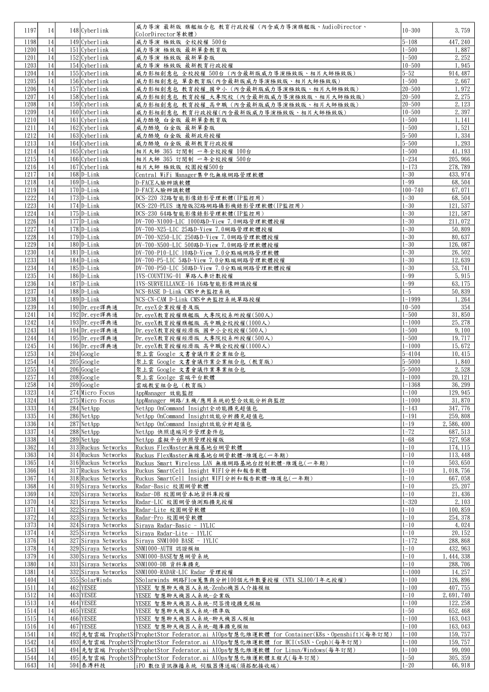| 1197         | 14       | 148 Cyberlink                              | 威力導演 最新版 旗艦組合包 教育行政授權(內含威力導演旗艦版、AudioDirector、                                                          | $10 - 300$               | 3,759                |
|--------------|----------|--------------------------------------------|---------------------------------------------------------------------------------------------------------|--------------------------|----------------------|
| 1198         | 14       | 149 Cyberlink                              | ColorDirector等軟體)<br>威力導演 極致版 全校授權 500台                                                                 | $5 - 108$                | 447, 240             |
| 1200         | 14       | $151$ Cyberlink                            | 威力導演 極致版 最新單套教育版                                                                                        | $1 - 500$                | 1,887                |
| 1201         | 14       | 152 Cyberlink                              | 威力導演 極致版 最新單套版                                                                                          | $1 - 500$                | 2, 252               |
| 1203         | 14       | $154$ Cyberlink                            | 威力導演 極致版 最新教育行政授權                                                                                       | $10 - 500$               | 1,945                |
| 1204         | 14       | $155$ Cyberlink                            | 威力影相創意包 全校授權 500台 (內含最新版威力導演極致版、相片大師極致版)                                                                | $5 - 52$                 | 914, 487             |
| 1205         | 14       | $156$ Cyberlink                            | 威力影相創意包 單套教育版(內含最新版威力導演極致版、相片大師極致版)                                                                     | $1 - 500$                | 2,667                |
| 1206         | 14       | 157 Cyberlink                              | 威力影相創意包 教育授權_國中小 (內含最新版威力導演極致版、相片大師極致版)                                                                 | $20 - 500$               | 1,972                |
| 1207         | 14       | 158 Cyberlink                              | 威力影相創意包 教育授權_大專院校(內含最新版威力導演極致版、相片大師極致版)                                                                 | 20-500                   | 2, 275               |
| 1208         | 14       | $159$ Cyberlink                            | 威力影相創意包 教育授權_高中職(內含最新版威力導演極致版、相片大師極致版)                                                                  | 20-500                   | 2, 123               |
| 1209<br>1210 | 14<br>14 | 160 Cyberlink<br>$161$ Cyberlink           | 威力影相創意包 教育行政授權(內含最新版威力導演極致版、相片大師極致版)<br>威力酷燒 白金版 最新單套教育版                                                | $10 - 500$<br>$1 - 500$  | 2,397<br>1, 141      |
| 1211         | 14       | $162$ Cyberlink                            | 威力酷燒 白金版 最新單套版                                                                                          | $1 - 500$                | 1,521                |
| 1212         | 14       | $163$ Cyberlink                            | 威力酷燒 白金版 最新政府授權                                                                                         | $5 - 500$                | 1,334                |
| 1213         | 14       | $164$ Cyberlink                            | 威力酷燒 白金版 最新教育行政授權                                                                                       | $5 - 500$                | 1,293                |
| 1214         | 14       | $165$ Cyberlink                            | 相片大師 365 訂閱制 一年全校授權 100台                                                                                | $1 - 500$                | 41, 193              |
| 1215         | 14       | $166$ Cyberlink                            | 相片大師 365 訂閱制 一年全校授權 500台                                                                                | $1 - 234$                | 205, 966             |
| 1216         | 14       | 167 Cyberlink                              | 相片大師 極致版 校園授權500台                                                                                       | $1 - 173$                | 278, 789             |
| 1217         | 14       | $168$ $D-Link$                             | Central WiFi Manager集中化無線網路管理軟體                                                                         | $1 - 30$                 | 433, 974             |
| 1218         | 14       | $169 D-Link$                               | D-FACE人臉辨識軟體                                                                                            | $1 - 99$                 | 68,504               |
| 1219<br>1222 | 14<br>14 | $170$ D-Link<br>$173$ D-Link               | D-FACE人臉辨識軟體                                                                                            | $100 - 740$<br>$1 - 30$  | 67,071<br>68,504     |
| 1223         | 14       | $174$ $D$ -Link                            | DCS-220 32路智能影像錄影管理軟體(IP監控用)<br>DCS-220-PLUS 進階版32路網路攝影機錄影管理軟體(IP監控用)                                   | $1 - 30$                 | 121, 537             |
| 1224         | 14       | $175$ D-Link                               | DCS-230 64路智能影像錄影管理軟體(IP監控用)                                                                            | $1 - 30$                 | 121, 587             |
| 1226         | 14       | $\overline{177}$ D-Link                    | DV-700-N1000-LIC 1000路D-View 7.0網路管理軟體授權                                                                | $1 - 30$                 | 211,072              |
| 1227         | 14       | $\overline{178}$ D-Link                    | DV-700-N25-LIC 25路D-View 7.0網路管理軟體授權                                                                    | $1 - 30$                 | 50,809               |
| 1228         | 14       | $179$ D-Link                               | DV-700-N250-LIC 250路D-View 7.0網路管理軟體授權                                                                  | $1 - 30$                 | 80,637               |
| 1229         | 14       | $180$ D-Link                               | DV-700-N500-LIC 500路D-View 7.0網路管理軟體授權                                                                  | $1 - 30$                 | 126, 087             |
| 1230         | 14       | $181$ D-Link                               | DV-700-P10-LIC 10路D-View 7.0分點端網路管理軟體                                                                   | $1 - 30$                 | 26,502               |
| 1233         | 14       | $184$ D-Link                               | DV-700-P5-LIC 5路D-View 7.0分點端網路管理軟體授權                                                                   | $1 - 30$                 | 12,639               |
| 1234         | 14       | $185$ D-Link                               | DV-700-P50-LIC 50路D-View 7.0分點端網路管理軟體授權                                                                 | $1 - 30$                 | 53, 741              |
| 1235<br>1236 | 14<br>14 | $186$ D-Link<br>$187$  D-Link              | IVS-COUNTING-01 單路人車計數授權<br>IVS-SURVEILLANCE-16 16路智能影像辨識授權                                             | $1 - 99$<br>$1 - 99$     | 5, 915               |
| 1237         | 14       | $188$ $D-Link$                             | NCS-BASE D-Link CMS中央監控系統                                                                               | $1 - 5$                  | 63, 175<br>50,839    |
| 1238         | 14       | $\overline{189}$ D-Link                    | NCS-CN-CAM D-Link CMS中央監控系統單路授權                                                                         | $1 - 1999$               | 1,264                |
| 1239         | 14       | 190 Dr. eye 譯典通                            | Dr. eyeX企業授權普及版                                                                                         | $10 - 500$               | 354                  |
| 1241         | 14       | 192 Dr. eve譯典通                             | Dr. eyeX教育授權旗艦版 大專院校系所授權(500人)                                                                          | $1 - 500$                | 31,850               |
| 1242         | 14       | 193 Dr. eye 譯典通                            | Dr. eyeX教育授權旗艦版 高中職全校授權(1000人)                                                                          | $1 - 1000$               | 25, 278              |
| 1243         | 14       | 194 Dr. eye譯典通                             | Dr. eyeX教育授權經濟版 國中小全校授權(500人)                                                                           | $1 - 500$                | 9,100                |
| 1244         | 14       | 195 Dr. eye譯典通                             | Dr. eyeX教育授權經濟版 大專院校系所授權(500人)                                                                          | $1 - 500$                | 19, 717              |
| 1245         | 14       | 196 Dr. eye譯典通                             | Dr. eyeX教育授權經濟版 高中職全校授權(1000人)                                                                          | $1 - 1000$               | 15,672               |
| 1253         | 14<br>14 | $204$ Google                               | 聚上雲 Google 文書會議作業企業組合包                                                                                  | $5 - 4104$<br>$5 - 5000$ | 10,415               |
| 1254<br>1255 | 14       | $205$ Google<br>$206$ Google               | 聚上雲 Google 文書會議作業企業組合包 (教育版)<br>聚上雲 Google 文書會議作業專業組合包                                                  | $5 - 5000$               | 1,840<br>2,528       |
| 1257         | 14       | $208$ Google                               | 聚上雲 Goolge 雲端平台軟體                                                                                       | $1 - 1000$               | 20, 121              |
| 1258         | 14       | $209$ Google                               | 雲端教室組合包 (教育版)                                                                                           | $1 - 1368$               | 36, 299              |
| 1323         | 14       | 274 Micro Focus                            | AppManager 效能監控                                                                                         | $1 - 100$                | 129, 945             |
| 1324         | 14       | 275 Micro Focus                            | AppManager 網路/主機/應用系統的整合效能分析與監控                                                                         | $1 - 1000$               | 31,870               |
| 1333         | 14       | 284 NetApp                                 | NetApp OnCommand Insight全功能擴充超值包                                                                        | $1 - 143$                | 347, 776             |
| 1335         | 14       | 286 NetApp                                 | NetApp OnCommand Insight效能分析擴充超值包                                                                       | $1 - 191$                | 259,808              |
| 1336         | 14       | $287$ NetApp                               | NetApp OnCommand Insight效能分析超值包                                                                         | $1 - 19$                 | 2,586,400            |
| 1337<br>1338 | 14<br>14 | $288$ NetApp<br>$289$ NetApp               | NetApp 快照遠端同步管理套件包                                                                                      | $1 - 72$<br>$1 - 68$     | 687, 513<br>727, 958 |
| 1362         | 14       | 313 Ruckus Networks                        | NetApp 虛擬平台快照管理授權版<br>Ruckus FlexMaster無線基地台網管軟體                                                        | $1 - 10$                 | 174, 115             |
| 1363         | 14       | 314 Ruckus Networks                        | Ruckus FlexMaster無線基地台網管軟體-維護包(一年期)                                                                     | $1 - 10$                 | 113, 448             |
| 1365         | 14       | 316 Ruckus Networks                        | Ruckus Smart Wireless LAN 無線網路基地台控制軟體-維護包(一年期)                                                          | $1 - 10$                 | 503, 650             |
| 1366         | 14       | 317 Ruckus Networks                        | Ruckus SmartCell Insight WIFI分析和報告軟體                                                                    | $1 - 10$                 | 1,018,756            |
| 1367         | 14       | 318 Ruckus Networks                        | Ruckus SmartCell Insight WIFI分析和報告軟體-維護包(一年期)                                                           | $1 - 10$                 | 667, 058             |
| 1368         | 14       | 319 Siraya Networks                        | Radar-Basic 校園網管軟體                                                                                      | $1 - \overline{10}$      | 25, 207              |
| 1369         | 14       | 320 Siraya Networks                        | Radar-DB 校園網管本地資料庫授權                                                                                    | $1 - 10$                 | 21, 436              |
| 1370<br>1371 | 14<br>14 | 321 Siraya Networks                        | Radar-LIC 校園網管偵測點擴充授權                                                                                   | $1 - 320$                | 2, 103               |
| 1372         | 14       | 322 Siraya Networks<br>323 Siraya Networks | Radar-Lite 校園網管軟體<br>Radar-Pro 校園網管軟體                                                                   | $1 - 10$<br>$1 - 10$     | 100,859<br>254, 378  |
| 1373         | 14       | 324 Siraya Networks                        | Siraya Radar-Basic - 1YLIC                                                                              | $1 - 10$                 | 4,024                |
| 1374         | 14       | 325 Siraya Networks                        | Siraya Radar-Lite - 1YLIC                                                                               | $1 - 10$                 | 20, 152              |
| 1376         | 14       | 327 Siraya Networks                        | Siraya SNM1000 BASE - 1YLIC                                                                             | $1 - 172$                | 288, 868             |
| 1378         | 14       | 329 Siraya Networks                        | SNM1000-AUTH 認證模組                                                                                       | $1 - 10$                 | 432, 963             |
| 1379         | 14       | 330 Siraya Networks                        | SNM1000-BASE智慧網管系統                                                                                      | $1 - 10$                 | 1, 444, 338          |
| 1380         | 14       | 331 Siraya Networks                        | SNM1000-DB 資料庫擴充                                                                                        | $1 - 10$                 | 288,706              |
| 1381         | 14       | 332 Siraya Networks                        | SNM1000-RADAR-LIC Radar 管理授權                                                                            | $1 - 1000$               | 14, 257              |
| 1404<br>1511 | 14<br>14 | 355 SolarWinds<br>462 YESEE                | SSolarwinds 網路Flow蒐集與分析100個元件數量授權 (NTA SL100/1年之授權)                                                     | $1 - 100$<br>$1 - 100$   | 126,896<br>407, 755  |
| 1512         | 14       | 463 YESEE                                  | YESEE 智慧聊天機器人系統-Zenbo機器人介接模組<br>YESEE 智慧聊天機器人系統-企業版                                                     | $1 - 10$                 | 2, 691, 740          |
| 1513         | 14       | 464 YESEE                                  | YESEE 智慧聊天機器人系統-問答情境擴充模組                                                                                | $1 - 100$                | 122, 258             |
| 1514         | 14       | 465 YESEE                                  | YESEE 智慧聊天機器人系統-標準版                                                                                     | $1 - 50$                 | 652, 468             |
| 1515         | 14       | 466 YESEE                                  | YESEE 智慧聊天機器人系統-聊天機器人模組                                                                                 | $1 - 100$                | 163, 043             |
| 1516         | 14       | 467 YESEE                                  | YESEE 智慧聊天機器人系統-題庫擴充模組                                                                                  | $1 - 100$                | 163, 043             |
| 1541         | 14       |                                            | 492 先智雲端 ProphetS <sup>1</sup> ProphetStor Federator.ai AIOps智慧化維運軟體 for Container(K8s、Openshift)(每年訂閱) | $1 - 100$                | 159, 757             |
| 1542         | 14       |                                            | 493 先智雲端 ProphetS ProphetStor Federator.ai AI0ps智慧化維運軟體 for HCI(vSAN、Ceph)(每年訂閱)                        | $1 - 100$                | 159, 757             |
| 1543         | 14       |                                            | 494 先智雲端 ProphetS ProphetStor Federator ai AI0ps智慧化維運軟體 for Linux/Windows(每年訂閱)                         | $1 - 100$<br>$1 - 50$    | 99,090<br>305, 359   |
| 1544<br>1643 | 14<br>14 | 594 泰溥科技                                   | 495 先智雲端 ProphetS ProphetStor Federator.ai AIOps智慧化維運軟體主程式(每年訂閱)<br>iPO 數位資訊推播系統 伺服器傳送端(須搭配接收端)         | $1 - 20$                 | 66, 918              |
|              |          |                                            |                                                                                                         |                          |                      |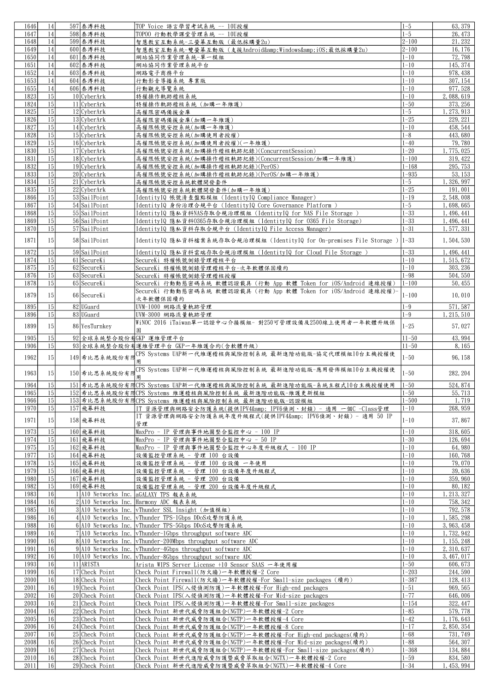|              | 14              | 597 泰溥科技                         | TOP Voice 語言學習考試系統 -- 10U授權                                                                        | $1 - 5$              | 63, 379                 |
|--------------|-----------------|----------------------------------|----------------------------------------------------------------------------------------------------|----------------------|-------------------------|
| 1646         | 14              |                                  |                                                                                                    | $1 - 5$              | 26, 473                 |
| 1647         |                 | 598 泰溥科技                         | TOPOO 行動教學課堂管理系統 -- 10U授權                                                                          |                      |                         |
| 1648         | 14              | 599 泰溥科技                         | 智慧教室互動系統-三螢幕互動版 (最低採購量2u)                                                                          | $2 - 100$            | 21, 232                 |
| 1649         | 14              | 600 泰溥科技                         | 智慧教室互動系統-雙螢幕互動版 (支援Android&Windows&iOS最低採購量2u)                                                     | $2 - 100$            | 16, 176                 |
| 1650         | 14              | 601 泰溥科技                         | 網站協同作業管理系統-單一模組                                                                                    | $1 - 10$             | 72,798                  |
| 1651         | 14              | 602 泰溥科技                         | 網站協同作業管理系統平台                                                                                       | $1 - 10$             | 145, 374                |
|              |                 |                                  |                                                                                                    |                      |                         |
| 1652         | 14              | 603 泰溥科技                         | 網路電子商務平台                                                                                           | $1 - 10$             | 978, 438                |
| 1653         | 14              | 604 泰溥科技                         | 行動影音導播系統 專業版                                                                                       | $1 - 10$             | 307, 154                |
| 1655         | 14              | 606 泰溥科技                         | 行動觀光導覽系統                                                                                           | $1 - 10$             | 977, 528                |
| 1823         | 15              | 10 CyberArk                      | 特權操作軌跡稽核系統                                                                                         | $1 - 10$             | 2,088,619               |
|              |                 |                                  |                                                                                                    |                      |                         |
| 1824         | 15              | 11 CyberArk                      | 特權操作軌跡稽核系統 (加購一年維護)                                                                                | $1 - 50$             | 373, 256                |
| 1825         | 15              | $12$ CyberArk                    | 高權限密碼備援金庫                                                                                          | $1 - 5$              | 1, 273, 913             |
| 1826         | 15              | $13$ CyberArk                    | 高權限密碼備援金庫(加購一年維護)                                                                                  | $1 - 25$             | 229, 221                |
| 1827         | 15              | 14 CyberArk                      | 高權限帳號安控系統(加購一年維護)                                                                                  | $1 - 10$             | 458, 544                |
|              | 15              | $15$ CyberArk                    |                                                                                                    | $1 - 8$              | 443,680                 |
| 1828         |                 |                                  | 高權限帳號安控系統(加購使用者授權)                                                                                 |                      |                         |
| 1829         | 15              | $16$ CyberArk                    | 高權限帳號安控系統(加購使用者授權)(一年維護)                                                                           | $1 - 40$             | 79,780                  |
| 1830         | 15              | 17 CyberArk                      | 高權限帳號安控系統(加購操作稽核軌跡紀錄)(ConcurrentSession)                                                           | $1 - 20$             | 1,775,025               |
| 1831         | 15              | 18 CyberArk                      | 高權限帳號安控系統(加購操作稽核軌跡紀錄)(ConcurrentSession/加購一年維護)                                                    | $1 - 100$            | 319, 422                |
| 1832         | 15              | 19 CyberArk                      | 高權限帳號安控系統(加購操作稽核軌跡紀錄)(PerOS)                                                                       | $1 - 168$            | 295, 753                |
|              |                 |                                  |                                                                                                    |                      |                         |
| 1833         | 15              | $20$ CyberArk                    | 高權限帳號安控系統(加購操作稽核軌跡紀錄)(PerOS/加購一年維護)                                                                | $1 - 935$            | 53, 153                 |
| 1834         | $\overline{15}$ | 21 CyberArk                      | 高權限帳號安控系統軟體開發套件                                                                                    | $1 - 5$              | 1,326,997               |
| 1835         | 15              | $22$ CyberArk                    | 高權限帳號安控系統軟體開發套件(加購一年維護)                                                                            | $1 - 25$             | 191,001                 |
| 1866         | 15              | 53 SailPoint                     | IdentityIQ 帳號清查盤點模組 (IdentityIQ Compliance Manager)                                                | $1 - 19$             | 2,548,008               |
|              |                 |                                  |                                                                                                    |                      |                         |
| 1867         | 15              | 54 SailPoint                     | IdentityIQ 身份治理合規平台 (IdentityIQ Core Governance Platform)                                          | $1 - 5$              | 1,698,665               |
| 1868         | 15              | 55 SailPoint                     | IdentityIQ 隱私資料NAS存取合規治理模組 (IdentityIQ for NAS File Storage )                                      | $1 - 33$             | 1, 496, 441             |
| 1869         | 15              | 56 SailPoint                     | IdentityIQ 隱私資料0365存取合規治理模組 (IdentityIQ for 0365 File Storage)                                     | $1 - 33$             | 1, 496, 441             |
| 1870         | 15              | 57 SailPoint                     | IdentityIQ 隱私資料存取合規平台 (IdentityIQ File Access Manager)                                             | $1 - 31$             | 1,577,331               |
|              |                 |                                  |                                                                                                    |                      |                         |
| 1871         | 15              | 58 SailPoint                     | IdentityIQ 隱私資料檔案系統存取合規治理模組 (IdentityIQ for On-premises File Storage )                             | $ 1 - 33 $           | 1,504,530               |
|              |                 |                                  |                                                                                                    |                      |                         |
| 1872         | 15              | 59 SailPoint                     | IdentityIQ 隱私資料雲端存取合規治理模組 (IdentityIQ for Cloud File Storage                                       | $1 - 33$             | 1, 496, 441             |
| 1874         | 15              | 61 SecureKi                      | SecureKi 特權帳號側錄管理稽核平台                                                                              | $1 - 10$             | 1, 515, 672             |
| 1875         | 15              | 62 SecureKi                      | SecureKi 特權帳號側錄管理稽核平台-次年軟體保固續約                                                                     | $1 - 10$             | 303, 236                |
|              |                 |                                  |                                                                                                    |                      |                         |
| 1876         | 15              | 63 SecureKi                      | SecureKi 特權帳號側錄管理稽核授權                                                                              | $1 - 98$             | 504, 550                |
| 1878         | 15              | 65 SecureKi                      | SecureKi 行動動態密碼系統 軟體認證載具 (行動 App 軟體 Token for iOS/Android 連線授權)                                    | $1 - 100$            | 50, 455                 |
|              |                 |                                  | SecureKi 行動動態密碼系統 軟體認證載具 (行動 App 軟體 Token for iOS/Android 連線授權)-                                   |                      |                         |
| 1879         | 15              | 66 SecureKi                      | 次年軟體保固續約                                                                                           | $1 - 100$            | 10,010                  |
|              |                 |                                  |                                                                                                    |                      |                         |
| 1895         | 15 <sup>1</sup> | 82 UGuard                        | UVM-1000 網路流量軌跡管理                                                                                  | $1 - 9$              | 571, 587                |
| 1896         | 15              | 83 UGuard                        | UVM-3000 網路流量軌跡管理                                                                                  | $1-9$                | 1, 215, 510             |
|              |                 |                                  | WiNOC 2016 iTaiwan單一認證中心介接模組- 對250可管理設備及2500線上使用者一年軟體升級保                                           |                      |                         |
| 1899         | 15              | 86 YesTurnkey                    | 周                                                                                                  | $1 - 25$             | 57,027                  |
|              |                 |                                  |                                                                                                    |                      |                         |
| 1905         | 15              | 92 全球系統整合股份有GKP 運維管理平台           |                                                                                                    | $11 - 50$            | 43, 994                 |
| 1906         | 15              |                                  | 93 全球系統整合股份有運維管理平台 GKP一年維護合約(含軟體升級)                                                                | $11 - 50$            | 8, 165                  |
|              |                 |                                  | CPS Systems UAP新一代維運稽核與風險控制系統 最新進階功能版-協定代理模組10台主機授權使                                               |                      |                         |
|              |                 |                                  |                                                                                                    |                      |                         |
| 1962         | 15              | 149 希比思系統股份有限                    |                                                                                                    | $1 - 50$             | 96, 158                 |
|              |                 |                                  | 用                                                                                                  |                      |                         |
| 1963         | 15              |                                  | CPS Systems UAP新一代維運稽核與風險控制系統 最新進階功能版-應用發佈模組10台主機授權使                                               |                      |                         |
|              |                 | 150 希比思系統股份有門                    | 用                                                                                                  | $1 - 50$             | 282, 204                |
| 1964         | 15              |                                  | 151 希比思系統股份有限CPS Systems UAP新一代維運稽核與風險控制系統 最新進階功能版-系統主程式10台主機授權使用                                  | $1 - 50$             | 524, 874                |
|              |                 |                                  |                                                                                                    |                      |                         |
| 1965         | 15              |                                  | 152 希比思系統股份有限CPS Systems 維運稽核與風險控制系統 最新進階功能版-維護更新模組                                                | $1 - 50$             | 55, 713                 |
| 1966         | 15              |                                  | 153 希比思系統股份有閇CPS Systems 維運稽核與風險控制系統 最新進階功能版-認證模組                                                  | $1 - 500$            | 1,719                   |
| 1970         | 15 <sup>1</sup> | 157 飛幕科技                         | IT 資源管理與網路安全防護系統(提供IPV4& IPV6偵測、封鎖) - 適用 一個C -Class管理                                              | $1 - 10$             | 268, 959                |
|              |                 |                                  | IT 資源管理與網路安全防護系統年度升級程式(提供IPV4& IPV6偵測、封鎖) - 適用 50 IP                                               |                      |                         |
| 1971         | 15              | 158 飛幕科技                         | 管理                                                                                                 | $1 - 10$             | 37,867                  |
|              |                 |                                  |                                                                                                    |                      |                         |
| 1973         | 15              | 160 飛幕科技                         | MaxPro - IP 管理與事件地圖整合監控中心 - 100 IP                                                                 | $1 - 10$             | 318, 605                |
| 1974         | 15              | 161 飛幕科技                         | MaxPro - IP 管理與事件地圖整合監控中心 - 50 IP                                                                  | $1 - 30$             | 126, 694                |
| 1975         | 15              | 162 飛幕科技                         | MaxPro - IP 管理與事件地圖整合監控中心年度升級程式 - 100 IP                                                           | $1 - 10$             | 64, 980                 |
| 1977         | 15              | 164 飛幕科技                         | 設備監控管理系統 - 管理 100 台設備                                                                              | $1 - 10$             | 160,768                 |
| 1978         | 15              | 165 飛幕科技                         | 設備監控管理系統 - 管理 100 台設備 一年使用                                                                         | $1 - 10$             | 79,070                  |
|              |                 |                                  |                                                                                                    |                      |                         |
| 1979         | 15              | 166 飛幕科技                         | 設備監控管理系統 - 管理 100 台設備年度升級程式                                                                        | $1 - 10$             | 39,636                  |
| 1980         | 15              | 167 飛幕科技                         | 設備監控管理系統 - 管理 200 台設備                                                                              | $1 - 10$             | 359, 960                |
| 1982         | 15              | 169 飛幕科技                         | 設備監控管理系統 - 管理 200 台設備年度升級程式                                                                        | $1 - 10$             | 80, 182                 |
| 1983         | 16              | 1410 Networks Inc.               | aGALAXY TPS 報表系統                                                                                   | $1 - 10$             | 1, 213, 327             |
| 1984         | 16              |                                  |                                                                                                    | $1 - 10$             | 758, 342                |
|              |                 |                                  | 2 A10 Networks Inc. Harmony ADC 報表系統                                                               |                      |                         |
| 1985         | 16              |                                  | 3 A10 Networks Inc. vThunder SSL Insight (加值模組)                                                    | $1 - 10$             | 792, 578                |
| 1986         | 16 <sup>1</sup> |                                  | 4 A10 Networks Inc. vThunder TPS-1Gbps DDoS攻擊防護系統                                                  | $1 - 10$             | 1, 585, 298             |
| 1988         | 16              |                                  | 6 A10 Networks Inc. vThunder TPS-5Gbps DDoS攻擊防護系統                                                  | $1 - 10$             | 3, 963, 458             |
| 1989         | 16              |                                  | 7 Al0 Networks Inc. vThunder-1Gbps throughput software ADC                                         | $1 - 10$             | 1, 732, 942             |
|              |                 |                                  |                                                                                                    |                      |                         |
| 1990         | 16              |                                  | 8 All Networks Inc. vThunder-200Mbps throughput software ADC                                       | $1 - 10$             | 1, 155, 248             |
| 1991         | 16              |                                  | $9$ A10 Networks Inc. vThunder-4Gbps throughput software ADC                                       | $1 - 10$             | 2, 310, 637             |
| 1992         | 16              |                                  | 10 A10 Networks Inc. vThunder-8Gbps throughput software ADC                                        | $1 - 10$             | 3, 467, 017             |
| 1993         | 16              | 11 ARISTA                        | Arista WIPS Server License +10 Sensor SAAS 一年使用權                                                   | $1 - 50$             | 606, 673                |
| 1999         | 16 <sup>1</sup> | 17 Check Point                   | Check Point Firewall(防火牆)一年軟體授權-2 Core                                                             | $1 - 203$            | 244,590                 |
|              |                 |                                  |                                                                                                    |                      |                         |
| 2000         | 16              | 18 Check Point                   | Check Point Firewall(防火牆)一年軟體授權-For Small-size packages (續約)                                       | $1 - 387$            | 128, 413                |
| 2001         | 16              | 19 Check Point                   | Check Point IPS(入侵偵測防護)一年軟體授權-For High-end packages                                                | $1 - 51$             | 969, 565                |
| 2002         | 16              | 20 Check Point                   | Check Point IPS(入侵偵測防護)一年軟體授權-For Mid-size packages                                                | $1 - 77$             | 646,006                 |
| 2003         | 16              | 21 Check Point                   | Check Point IPS(入侵偵測防護)一年軟體授權-For Small-size packages                                              | $1 - 154$            | 322, 447                |
| 2004         | 16              |                                  |                                                                                                    | $1 - 85$             |                         |
|              |                 | 22 Check Point                   | Check Point 新世代威脅防護組合(NGTP)一年軟體授權-2 Core                                                           |                      | 579, 778                |
| 2005         | 16              | 23 Check Point                   | Check Point 新世代威脅防護組合(NGTP)一年軟體授權-4 Core                                                           | $1 - 42$             | 1, 176, 643             |
| 2006         | 16 <sup>1</sup> | 24 Check Point                   | Check Point 新世代威脅防護組合(NGTP)一年軟體授權-8 Core                                                           | $1 - 17$             | 2, 850, 354             |
| 2007         | 16              | 25 Check Point                   | Check Point 新世代威脅防護組合(NGTP)一年軟體授權-For High-end packages(續約)                                        | $1 - 68$             | 731, 749                |
| 2008         | 16              |                                  |                                                                                                    | $1 - 88$             |                         |
|              |                 | 26 Check Point                   | Check Point 新世代威脅防護組合(NGTP)一年軟體授權-For Mid-size packages(續約)                                        |                      | 564, 307                |
| 2009         | 16 <sup>1</sup> | 27 Check Point                   | Check Point 新世代威脅防護組合(NGTP)一年軟體授權-For Small-size packages(續約)                                      | $1 - 368$            | 134, 884                |
| 2010<br>2011 | 16<br>16        | 28 Check Point<br>29 Check Point | Check Point 新世代進階威脅防護暨威脅萃取組合(NGTX)一年軟體授權-2 Core<br>Check Point 新世代進階威脅防護暨威脅萃取組合(NGTX)一年軟體授權-4 Core | $1 - 59$<br>$1 - 34$ | 834, 580<br>1, 453, 994 |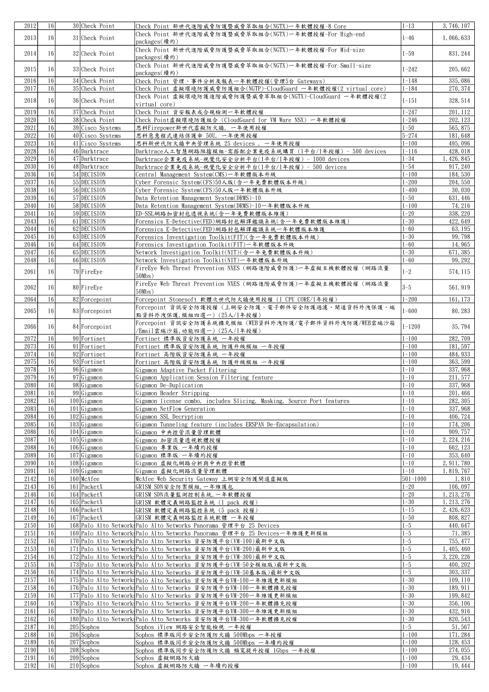| 2012         | 16                    | 30 Check Point               | Check Point 新世代進階威脅防護暨威脅萃取組合(NGTX)一年軟體授權-8 Core                                                    | $1 - 13$             | 3,746,107            |
|--------------|-----------------------|------------------------------|----------------------------------------------------------------------------------------------------|----------------------|----------------------|
| 2013         | 16 <sup>1</sup>       | 31 Check Point               | Check Point 新世代進階威脅防護暨威脅萃取組合(NGTX)一年軟體授權-For High-end<br>packages(續約)                              | $1 - 46$             | 1,066,633            |
| 2014         | 16                    | 32 Check Point               | Check Point 新世代進階威脅防護暨威脅萃取組合(NGTX)一年軟體授權-For Mid-size<br>packages(續約)                              | $1 - 59$             | 831, 244             |
| 2015         | 16                    | 33 Check Point               | Check Point 新世代進階威脅防護暨威脅萃取組合(NGTX)一年軟體授權-For Small-size<br>packages(續約)                            | $1 - 242$            | 205, 662             |
| 2016         | 16                    | 34 Check Point               | Check Point 管理、事件分析及報表一年軟體授權(管理5台 Gateways)                                                        | $1 - 148$            | 335, 086             |
| 2017         | 16                    | 35 Check Point               | Check Point 虚擬環境防護威脅防護組合(NGTP)-CloudGuard 一年軟體授權(2 virtual core)                                   | $1 - 184$            | 270, 374             |
| 2018         | 16                    | 36 Check Point               | Check Point 虛擬環境防護進階威脅防護暨威脅萃取組合(NGTX)-CloudGuard 一年軟體授權(2<br>virtual core)                         | $1 - 151$            | 328, 514             |
| 2019         | 16                    | 37 Check Point               | Check Point 資安報表或合規檢測一年軟體授權                                                                        | $1 - 247$            | 201, 112             |
| 2020         | 16                    | 38 Check Point               | Check Point虚擬環境防護組合 (CloudGuard for VM Ware NSX) 一年軟體授權                                            | $1 - 246$            | 202, 123             |
| 2021         | 16                    | 39 Cisco Systems             | 思科Firepower新世代虚擬防火牆, 一年使用授權                                                                        | $1 - 50$             | 565, 875             |
| 2022         | 16                    | 40 Cisco Systems             | 思科惡意程式連結保護傘 50U, 一年使用授權                                                                            | $5 - 274$            | 181,648              |
| 2023         | 16                    | 41 Cisco Systems             | 思科新世代防火牆中央管理系統 25 devices, 一年使用授權                                                                  | $1 - 100$            | 495,096              |
| 2028         | 16                    | 46 Darktrace                 | Darktrace人工智慧網路阻擋模組-需搭配企業免疫系統購買 (1平台/1年授權) - 500 devices                                           | $1 - 116$            | 428, 018             |
| 2029         | 16                    | 47 Darktrace                 | Darktrace企業免疫系統-視覺化安全分析平台(1平台/1年授權) - 1000 devices                                                 | $1 - 34$             | 1, 426, 845          |
| 2030         | 16                    | 48 Darktrace                 | Darktrace企業免疫系統-視覺化安全分析平台(1平台/1年授權) - 500 devices                                                  | $1 - 54$             | 917, 240             |
| 2036         | 16                    | 54 DECISION                  | Central Management System(CMS)一年軟體版本升級                                                             | $1 - 100$            | 184,530              |
| 2037         | 16                    | 55 DECISION                  | Cyber Forensic System(CFS)50人版(含一年免費軟體版本升級)                                                        | $1 - 200$            | 204, 550             |
| 2038         | 16                    | 56 DECISION                  | Cyber Forensic System(CFS)50人版一年軟體版本升級                                                             | $1 - 400$            | 30,030               |
| 2039         | 16                    | 57 DECISION                  | Data Retention Management System(DRMS)-10                                                          | $1 - 50$             | 631, 446             |
| 2040         | 16                    | 58 DECISION                  | Data Retention Management System(DRMS)-10一年軟體版本升級                                                  | $1 - 100$            | 74, 216              |
| 2041         | 16                    | 59 DECISION                  | ED-SSL網路加密封包透視系統(含一年免費軟體版本維護)                                                                      | $1 - 20$             | 338, 220             |
| 2043<br>2044 | 16<br>16              | 61 DECISION<br>62 DECISION   | Forensics E-Detective(FED)網路封包解譯鑑識系統(含一年免費軟體版本維護)                                                  | $1 - 30$<br>$1 - 60$ | 422, 649             |
| 2045         | 16                    | 63 DECISION                  | Forensics E-Detective(FED)網路封包解譯鑑識系統一年軟體版本維護                                                       | $1 - 30$             | 63, 195<br>99,798    |
| 2046         | 16                    | 64 DECISION                  | Forensics Investigation Toolkit(FIT)(含一年免費軟體版本升級)<br>Forensics Investigation Toolkit(FIT)一年軟體版本升級  | $1 - 60$             | 14,965               |
| 2047         | 16                    | 65 DECISION                  |                                                                                                    | $1 - 30$             |                      |
| 2048         | 16                    | 66 DECISION                  | Network Investigation Toolkit(NIT)(含一年免費軟體版本升級)<br>Network Investigation Toolkit(NIT)一年軟體版本升級      | $1 - 60$             | 671, 385<br>99, 292  |
|              |                       |                              | FireEye Web Threat Prevention NXES (網路進階威脅防護)一年虛擬主機軟體授權 (網路流量                                      |                      |                      |
| 2061         | 16                    | 79 FireEye                   | $50Mbs$ )                                                                                          | $1 - 2$              | 574, 115             |
| 2062         | 16 <sup>1</sup>       | 80 FireEye                   | FireEye Web Threat Prevention NXES (網路進階威脅防護)一年虛擬主機軟體授權 (網路流量<br>$50Mbs$ )                         | $3-5$                | 561, 919             |
| 2064         | 16                    | 82 Forcepoint                | Forcepoint Stonesoft 軟體次世代防火牆使用授權 (1 CPU CORE/1年授權)                                                | $1 - 200$            | 161, 173             |
| 2065         | 16                    | 83 Forcepoint                | Forcepoint 資訊安全防護授權(上網安全防護、電子郵件安全防護過濾、閘道資料外洩保護、端                                                   | $1 - 600$            | 80, 283              |
|              |                       |                              | 點資料外洩保護,模組四選一) (25人/1年授權)<br>Forcepoint 資訊安全防護系統擴充模組 (WEB資料外洩防護/電子郵件資料外洩防護/WEB雲端沙箱                 |                      |                      |
| 2066         | 16                    | 84 Forcepoint                | /Email雲端沙箱,功能四選一) (25人/1年授權)                                                                       | $1 - 1200$           | 35, 794              |
| 2072         | 16                    | 90 Fortinet                  | Fortinet 標準版資安防護系統 一年授權                                                                            | $1 - 100$            | 282, 709             |
| 2073         | 16                    | 91 Fortinet                  | Fortinet 標準版資安防護系統 防護升級模組 一年授權                                                                     | $1 - 100$            | 181, 597             |
| 2074         | 16                    | 92 Fortinet                  | Fortinet 高階版資安防護系統 一年授權                                                                            | $1 - 100$            | 484, 933             |
| 2075         | 16                    | 93 Fortinet                  | Fortinet 高階版資安防護系統 防護升級模組 一年授權                                                                     | $1 - 100$            | 363, 599             |
| 2078         | 16                    | 96 Gigamon                   | Gigamon Adaptive Packet Filtering                                                                  | $1 - 10$             | 337, 968             |
| 2079         | 16<br>16              | 97 Gigamon                   | Gigamon Application Session Filtering feature                                                      | $1 - 10$             | 211, 577             |
| 2080         |                       | 98 Gigamon                   | Gigamon De-Duplication                                                                             | $1 - 10$             | 337, 968             |
| 2081<br>2082 | 16 <sup> </sup><br>16 | 99 Gigamon<br>$100$ Gigamon  | Gigamon Header Stripping<br>Gigamon license combo, includes Slicing, Masking, Source Port features | $1 - 10$<br>$1 - 10$ | 201, 466<br>282, 305 |
| 2083         | 16                    | $101 G$ igamon               | Gigamon NetFlow Generation                                                                         | $1 - 10$             | 337, 968             |
| 2084         | 16                    | $102$ Gigamon                | Gigamon SSL Decryption                                                                             | $1 - 10$             | 406, 724             |
| 2085         | 16                    | $103$ Gigamon                | Gigamon Tunneling feature (includes ERSPAN De-Encapsulation)                                       | $1 - 10$             | 174, 206             |
| 2086         | 16                    | $104 G$ igamon               | Gigamon 中央控管流量管理軟體                                                                                 | $1 - 10$             | 909, 757             |
| 2087         | 16                    | $105$ Gigamon                | Gigamon 加密流量透視軟體授權                                                                                 | $1 - 10$             | 2, 224, 216          |
| 2088         | 16                    | $106 G$ igamon               | Gigamon 專業版 一年續約授權                                                                                 | $1 - 10$             | 662, 123             |
| 2089         | 16                    | $107$ Gigamon                | Gigamon 標準版 一年續約授權                                                                                 | $1 - 10$             | 353, 640             |
| 2090         | 16                    | $108$ Gigamon                | Gigamon 虚擬化網路分析與中央控管軟體                                                                             | $1 - 10$             | 2, 911, 780          |
| 2091         | 16                    | $109$ Gigamon                | Gigamon 虚擬化網路流量管理軟體                                                                                | $1 - 10$             | 1, 819, 767          |
| 2142         | 16                    | 160 McAfee                   | McAfee Web Security Gateway 上網安全防護閘道虛擬版                                                            | 501-1000             | 1,810                |
| 2143         | 16                    | 161 PacketX                  | GRISM SDN安全防禦模組,一年維護包                                                                              | $1 - 20$             | 106,097              |
| 2146         | 16                    | $164$ PacketX                | GRISM SDN流量監測控制系統,一年軟體授權                                                                           | $1 - 20$             | 1, 213, 276          |
| 2147         | 16                    | $165$  PacketX               | GRISM 軟體定義網路監控系統 (1 pack 授權)                                                                       | $1 - 30$             | 1, 213, 276          |
| 2148         | 16                    | $166$ PacketX                | GRISM 軟體定義網路監控系統 (5 pack 授權)                                                                       | $1 - 15$             | 2, 426, 623          |
| 2149         | 16                    | $167$ PacketX                | GRISM 軟體定義網路監控系統軟體 一年授權                                                                            | $1 - 50$             | 808, 827             |
| 2150         | 16                    |                              | 168 Palo Alto Network Palo Alto Networks Panorama 管理平台 25 Devices                                  | $1 - 5$              | 440, 647             |
| 2151         | 16                    |                              | 169 Palo Alto Network Palo Alto Networks Panorama 管理平台 25 Devices一年維護更新模組                          | $1 - 5$              | 71,385               |
| 2152         | 16                    |                              | 170 Palo Alto Network Palo Alto Networks 資安防護平台(VM-100)最新中文版                                       | $1 - 5$              | 755, 477             |
| 2153         | 16                    |                              | 171 Palo Alto Network Palo Alto Networks 資安防護平台(VM-200)最新中文版                                       | $1 - 5$              | 1, 405, 460          |
| 2154         | 16                    |                              | 172 Palo Alto Network Palo Alto Networks 資安防護平台(VM-300)最新中文版                                       | $1 - 5$              | 3, 220, 226          |
| 2155         | 16                    |                              | 173 Palo Alto Network Palo Alto Networks 資安防護平台(VM-50全模組版)最新中文版                                    | $1 - 5$              | 400, 202             |
| 2156         | 16                    |                              | 174 Palo Alto Network Palo Alto Networks 資安防護平台(VM-50基本版)最新中文版                                     | $1 - 5$              | 303, 337             |
| 2157         | 16                    |                              | 175 Palo Alto Network Palo Alto Networks 資安防護平台VM-100一年維護更新模組                                      | $1 - 30$             | 109, 110             |
| 2158         | 16                    |                              | 176 Palo Alto Network Palo Alto Networks 資安防護平台VM-100一年軟體擴充授權                                      | $1 - 30$             | 189, 911             |
| 2159         | 16                    |                              | 177 Palo Alto Network Palo Alto Networks 資安防護平台VM-200一年維護更新模組                                      | $1 - 30$             | 199, 842             |
| 2160         | 16                    |                              | 178 Palo Alto Network Palo Alto Networks 資安防護平台VM-200一年軟體擴充授權                                      | $1 - 30$             | 356, 106             |
| 2161         | 16                    |                              | 179 Palo Alto Network Palo Alto Networks 資安防護平台VM-300一年維護更新模組                                      | $1 - 30$             | 432, 916             |
| 2162<br>2187 | 16<br>16              |                              | 180 Palo Alto Network Palo Alto Networks 資安防護平台VM-300一年軟體擴充授權                                      | $1 - 30$<br>$1 - 5$  | 820, 543             |
| 2188         | 16                    | $205$ Sophos<br>$206$ Sophos | Sophos iView 網路安全智能檢視 一年授權                                                                         | $1 - 100$            | 51, 567<br>171, 284  |
| 2189         | 16                    | $207$ Sophos                 | Sophos 標準版同步安全防護防火牆 500Mbps 一年授權<br>Sophos 標準版同步安全防護防火牆 500Mbps 一年續約授權                             | $1 - 100$            | 128, 453             |
| 2190         | 16                    | $208$ Sophos                 | Sophos 標準版同步安全防護防火牆 頻寬提升授權 1Gbps 一年授權                                                              | $1 - 100$            | 274, 055             |
| 2191         | 16                    | $209$ Sophos                 | Sophos 虚擬網路防火牆                                                                                     | $1 - 100$            | 29, 434              |
| 2192         | 16                    | $210$ Sophos                 | Sophos 虚擬網路防火牆 一年續約授權                                                                              | $1 - 100$            | 19, 444              |
|              |                       |                              |                                                                                                    |                      |                      |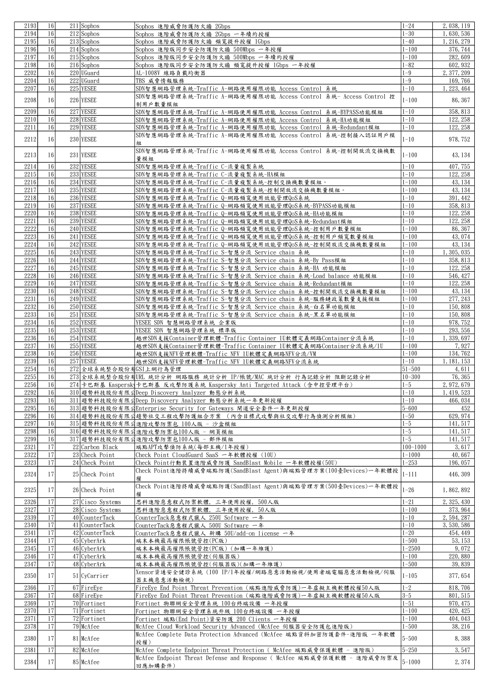| 2193 | 16 | $211$ Sophos           |                                                                                    | $1 - 24$        | 2, 038, 119 |
|------|----|------------------------|------------------------------------------------------------------------------------|-----------------|-------------|
|      |    |                        | Sophos 進階威脅防護防火牆 2Gbps                                                             |                 |             |
| 2194 | 16 | $212$ Sophos           | Sophos 進階威脅防護防火牆 2Gbps 一年續約授權                                                      | $1 - 30$        | 1,630,536   |
| 2195 | 16 | $213$ Sophos           | Sophos 進階威脅防護防火牆 頻寬提升授權 1Gbps                                                      | $1 - 40$        | 1, 216, 279 |
| 2196 | 16 | $214$ Sophos           | Sophos 進階版同步安全防護防火牆 500Mbps 一年授權                                                   | $1 - 100$       | 376, 744    |
|      |    |                        |                                                                                    |                 |             |
| 2197 | 16 | $215$ Sophos           | Sophos 進階版同步安全防護防火牆 500Mbps 一年續約授權                                                 | $1 - 100$       | 282, 609    |
| 2198 | 16 | $216$ Sophos           | Sophos 進階版同步安全防護防火牆 頻寬提升授權 1Gbps 一年授權                                              | $1 - 82$        | 602, 932    |
| 2202 | 16 | 220 UGuard             | AL-1008V 線路負載均衡器                                                                   | $1 - 9$         | 2, 377, 209 |
| 2204 | 16 | 222 UGuard             | TBS 威脅情報服務                                                                         | $1 - 9$         | 169, 766    |
|      |    |                        |                                                                                    |                 |             |
| 2207 | 16 | 225 YESEE              | SDN智慧網路管理系統-Traffic A-網路使用權限功能 Access Control 系統                                   | $1 - 10$        | 1, 223, 464 |
|      |    |                        | SDN智慧網路管理系統-Traffic A-網路使用權限功能 Access Control 系統- Access Control 控                 |                 |             |
| 2208 | 16 | 226 YESEE              | 制用戶數量模組                                                                            | $1 - 100$       | 86, 367     |
|      |    |                        |                                                                                    |                 |             |
| 2209 | 16 | 227 YESEE              | SDN智慧網路管理系統-Traffic A-網路使用權限功能 Access Control 系統-BYPASS功能模組                        | $1 - 10$        | 358, 813    |
| 2210 | 16 | 228 YESEE              | SDN智慧網路管理系統-Traffic A-網路使用權限功能 Access Control 系統-HA功能模組                            | $1 - 10$        | 122, 258    |
| 2211 | 16 | 229 YESEE              | SDN智慧網路管理系統-Traffic A-網路使用權限功能 Access Control 系統-Redundant模組                       | $1 - 10$        | 122, 258    |
|      |    |                        | SDN智慧網路管理系統-Traffic A-網路使用權限功能 Access Control 系統-控制接入認証用戶模                         |                 |             |
| 2212 | 16 | 230 YESEE              |                                                                                    | $1 - 10$        | 978, 752    |
|      |    |                        | 組                                                                                  |                 |             |
|      |    |                        | SDN智慧網路管理系統-Traffic A-網路使用權限功能 Access Control 系統-控制開放流交換機數                         |                 |             |
| 2213 | 16 | 231 YESEE              | 量模組                                                                                | $1 - 100$       | 43, 134     |
| 2214 | 16 | 232 YESEE              |                                                                                    | $1 - 10$        | 407, 755    |
|      |    |                        | SDN智慧網路管理系統-Traffic C-流量複製系統                                                       |                 |             |
| 2215 | 16 | 233 YESEE              | SDN智慧網路管理系統-Traffic C-流量複製系統-HA模組                                                  | $1 - 10$        | 122, 258    |
| 2216 | 16 | 234 YESEE              | SDN智慧網路管理系統-Traffic C-流量複製系統-控制交換機數量模組。                                            | $1 - 100$       | 43, 134     |
| 2217 | 16 | 235 YESEE              | SDN智慧網路管理系統-Traffic C-流量複製系統-控制開放流交換機數量模組。                                         | $1 - 100$       | 43, 134     |
|      |    |                        |                                                                                    |                 |             |
| 2218 | 16 | 236 YESEE              | SDN智慧網路管理系統-Traffic Q-網路頻寬使用效能管理QoS系統                                              | $1 - 10$        | 391, 442    |
| 2219 | 16 | 237 YESEE              | SDN智慧網路管理系統-Traffic Q-網路頻寬使用效能管理QoS系統-BYPASS功能模組                                   | $1 - 10$        | 358, 813    |
| 2220 | 16 | 238 YESEE              | SDN智慧網路管理系統-Traffic Q-網路頻寬使用效能管理QoS系統-HA功能模組                                       | $1 - 10$        | 122, 258    |
|      |    |                        |                                                                                    |                 |             |
| 2221 | 16 | 239 YESEE              | SDN智慧網路管理系統-Traffic Q-網路頻寬使用效能管理QoS系統-Redundant模組                                  | $1 - 10$        | 122, 258    |
| 2222 | 16 | 240 YESEE              | SDN智慧網路管理系統-Traffic Q-網路頻寬使用效能管理QoS系統-控制用戶數量模組                                     | $1 - 100$       | 86, 367     |
| 2223 | 16 | 241 YESEE              | SDN智慧網路管理系統-Traffic Q-網路頻寬使用效能管理QoS系統-控制用戶頻寬數量模組                                   | $1 - 100$       | 43, 074     |
| 2224 | 16 | 242 YESEE              | SDN智慧網路管理系統-Traffic Q-網路頻寬使用效能管理QoS系統-控制開放流交換機數量模組                                 | $1 - 100$       | 43, 134     |
|      |    |                        |                                                                                    |                 |             |
| 2225 | 16 | 243 YESEE              | SDN智慧網路管理系統-Traffic S-智慧分流 Service chain 系統                                        | $1 - 10$        | 1, 305, 035 |
| 2226 | 16 | 244 YESEE              | SDN智慧網路管理系統-Traffic S-智慧分流 Service chain 系統-By Pass模組                              | $1 - 10$        | 358, 813    |
| 2227 | 16 | 245 YESEE              | SDN智慧網路管理系統-Traffic S-智慧分流 Service chain 系統-HA 功能模組                                | $1 - 10$        | 122, 258    |
|      |    |                        |                                                                                    |                 |             |
| 2228 | 16 | 246 YESEE              | SDN智慧網路管理系統-Traffic S-智慧分流 Service chain 系統-Load balance 功能模組                      | $1 - 10$        | 546, 427    |
| 2229 | 16 | 247 YESEE              | SDN智慧網路管理系統-Traffic S-智慧分流 Service chain 系統-Redundant模組                            | $1 - 10$        | 122, 258    |
| 2230 | 16 | 248 YESEE              | SDN智慧網路管理系統-Traffic S-智慧分流 Service chain 系統-控制開放流交換機數量模組                           | $1 - 100$       | 43, 134     |
|      |    |                        |                                                                                    |                 |             |
| 2231 | 16 | 249 YESEE              | SDN智慧網路管理系統-Traffic S-智慧分流 Service chain 系統-服務鏈政策數量支援模組                            | $1 - 100$       | 277, 243    |
| 2232 | 16 | 250 YESEE              | SDN智慧網路管理系統-Traffic S-智慧分流 Service chain 系統-白名單功能模組                                | $1 - 10$        | 150,808     |
| 2233 | 16 | 251 YESEE              | SDN智慧網路管理系統-Traffic S-智慧分流 Service chain 系統-黑名單功能模組                                | $1 - 10$        | 150,808     |
| 2234 | 16 | 252 YESEE              |                                                                                    | $1 - 10$        | 978, 752    |
|      |    |                        | YESEE SDN 智慧網路管理系統 企業版                                                             |                 |             |
| 2235 | 16 | 253 YESEE              | YESEE SDN 智慧網路管理系統 標準版                                                             | $1 - 10$        | 293, 556    |
| 2236 | 16 | 254 YESEE              | 越世SDN支援Container管理軟體-Traffic Container 1U軟體定義網路Container分流系統                       | $1 - 10$        | 1, 339, 697 |
| 2237 | 16 | 255 YESEE              | 越世SDN支援Container管理軟體-Traffic Container 1U軟體定義網路Container分流系統/1U                    | $1 - 100$       | 7,927       |
|      |    |                        |                                                                                    |                 |             |
| 2238 | 16 | 256 YESEE              | 越世SDN支援NFV管理軟體-Traffic NFV 1U軟體定義網路NFV分流/VM                                        | $1 - 100$       | 134, 762    |
| 2239 | 16 | 257 YESEE              | 越世SDN支援NFV管理軟體-Traffic NFV 1U軟體定義網路NFV分流系統                                         | $1 - 10$        | 1, 181, 153 |
| 2254 | 16 | 272 全球系統整合股份有GSI上網行為管理 |                                                                                    | $\sqrt{51-500}$ | 4,611       |
|      |    |                        |                                                                                    |                 |             |
| 2255 | 16 |                        | 273 全球系统整合股份有URL 统計分析 網路服務 統計分析 IP/帳號/MAC 統計分析 行為記錄分析 阻斷記錄分析                       | $10 - 300$      | 76, 365     |
| 2256 | 16 |                        | 274 卡巴斯基 Kaspersk 卡巴斯基 反攻擊防護系統 Kaspersky Anti Targeted Attack (含中控管理平台)            | $1 - 5$         | 2, 972, 679 |
| 2292 | 16 |                        | 310 趨勢科技股份有限公Deep Discovery Analyzer 動態分析系統                                        | $1 - 10$        | 1, 419, 523 |
| 2293 | 16 |                        | 311 趨勢科技股份有限公Deep Discovery Analyzer 動態分析系統一年更新授權                                  | $1 - 10$        | 466, 034    |
|      |    |                        |                                                                                    |                 |             |
| 2295 | 16 |                        | 313 趨勢科技股份有限公Enterprise Security for Gateways 閘道安全套件一年更新授權                         | $5 - 600$       | 452         |
| 2296 | 16 |                        | 314 趨勢科技股份有限公趨勢社交工程攻擊防護組合方案 (內含目標式攻擊與社交攻擊行為偵測分析模組)                                 | $1 - 50$        | 629, 974    |
| 2297 | 16 |                        | 315 趨勢科技股份有限公進階攻擊防禦包 100人版 - 沙盒模組                                                  | $1 - 5$         | 141, 517    |
| 2298 | 16 |                        | 316 趨勢科技股份有限公進階攻擊防禦包100人版 - 網頁模組                                                   | $1 - 5$         | 141, 517    |
|      |    |                        |                                                                                    |                 |             |
| 2299 | 16 |                        | 317 趨勢科技股份有限公進階攻擊防禦包100人版 - 郵件模組                                                   | $1 - 5$         | 141, 517    |
| 2321 | 17 | 22 Carbon Black        |                                                                                    |                 |             |
| 2322 | 17 |                        | 端點APT攻擊偵防系統(每部主機/1年授權)                                                             | $100 - 1000$    | 3,617       |
| 2323 | 17 |                        |                                                                                    |                 |             |
|      |    | 23 Check Point         | Check Point CloudGuard SaaS 一年軟體授權 (10U)                                           | $1 - 1000$      | 40,667      |
|      |    | 24 Check Point         | Check Point行動裝置進階威脅防護 SandBlast Mobile 一年軟體授權(50U)                                 | $1 - 253$       | 196, 057    |
|      |    |                        | Check Point進階持續威脅端點防護(SandBlast Agent)與端點管理方案(100臺Devices)一年軟體授                    |                 |             |
| 2324 | 17 | 25 Check Point         | 權                                                                                  | $1 - 111$       | 446, 309    |
|      |    |                        |                                                                                    |                 |             |
| 2325 | 17 | 26 Check Point         | Check Point進階持續威脅端點防護(SandBlast Agent)與端點管理方案(500臺Devices)一年軟體授                    | $1 - 26$        | 1,862,892   |
|      |    |                        | 權                                                                                  |                 |             |
| 2326 | 17 | 27 Cisco Systems       | 思科進階惡意程式防禦軟體, 三年使用授權, 500人版                                                        | $1 - 21$        | 2, 325, 430 |
| 2327 | 17 | 28 Cisco Systems       | 思科進階惡意程式防禦軟體, 三年使用授權, 50人版                                                         | $1 - 100$       | 373, 964    |
|      |    |                        |                                                                                    |                 |             |
| 2339 | 17 | 40 CounterTack         | CounterTack惡意程式獵人 250U Software 一年                                                 | $1 - 10$        | 2, 594, 287 |
| 2340 | 17 | 41 CounterTack         | CounterTack惡意程式獵人 500U Software 一年                                                 | $1 - 10$        | 3, 530, 586 |
| 2341 | 17 | 42 CounterTack         | CounterTack惡意程式獵人 新購 50U/add-on license 一年                                         | $1 - 20$        | 454, 449    |
| 2344 | 17 | 45 CyberArk            | 端末本機最高權限帳號管控(PC版)                                                                  | $1 - 500$       | 53, 153     |
|      |    |                        |                                                                                    |                 |             |
| 2345 | 17 | 46 CyberArk            | 端末本機最高權限帳號管控(PC版) (加購一年維護)                                                         | $1 - 2500$      | 9,072       |
| 2346 | 17 | 47 CyberArk            | 端末本機最高權限帳號管控(伺服器版)                                                                 | $1 - 100$       | 220, 880    |
| 2347 | 17 | 48 CyberArk            | 端末本機最高權限帳號管控(伺服器版)(加購一年維護)                                                         | $1 - 500$       | 39,839      |
|      |    |                        |                                                                                    |                 |             |
| 2350 | 17 | 51 CyCarrier           | Xensor資通安全健診系統 (100 IP/1年授權/網路惡意活動檢視/使用者端電腦惡意活動檢視/伺服                               | $1 - 105$       | 377, 654    |
|      |    |                        | 器主機惡意活動檢視)                                                                         |                 |             |
| 2366 | 17 | 67 FireEye             | FireEye End Point Threat Prevention (端點進階威脅防護)一年虛擬主機軟體授權50人版                       | $1 - 2$         | 818, 706    |
| 2367 | 17 | 68 FireEye             | FireEye End Point Threat Prevention (端點進階威脅防護)一年虛擬主機軟體授權50人版                       | $3 - 5$         | 801, 515    |
|      |    |                        |                                                                                    |                 |             |
| 2369 | 17 | 70 Fortinet            | Fortinet 物聯網安全管理系統 100台終端設備 一年授權                                                   | $1 - 51$        | 970, 475    |
| 2370 | 17 | 71 Fortinet            | Fortinet 物聯網安全管理系統升級 100台終端設備 一年授權                                                 | $1 - 100$       | 420, 425    |
| 2371 | 17 | 72 Fortinet            | Fortinet 端點(End Point)資安防護 200 Clients 一年授權                                        | $1 - 100$       | 404, 043    |
|      |    |                        |                                                                                    |                 |             |
| 2378 | 17 | 79 McAfee              | McAfee Cloud Workload Security Advanced (McAfee 伺服器安全防護包進階版)                       | $1 - 500$       | 38, 216     |
|      | 17 |                        | McAfee Complete Data Protection Advanced (McAfee 端點資料加密防護套件-進階版 一年軟體               |                 |             |
| 2380 |    | 81 McAfee              | 授權)                                                                                | $5 - 500$       | 8,388       |
|      | 17 |                        |                                                                                    |                 |             |
| 2381 |    | 82 McAfee              | McAfee Complete Endpoint Threat Protection ( McAfee 端點威脅保護軟體 - 進階版)                | $5 - 250$       | 3,547       |
| 2384 | 17 | 85 McAfee              | McAfee Endpoint Threat Defense and Response ( McAfee 端點威脅保護軟體 - 進階威脅防禦及<br>回應加購套件) | $5 - 1000$      | 2,374       |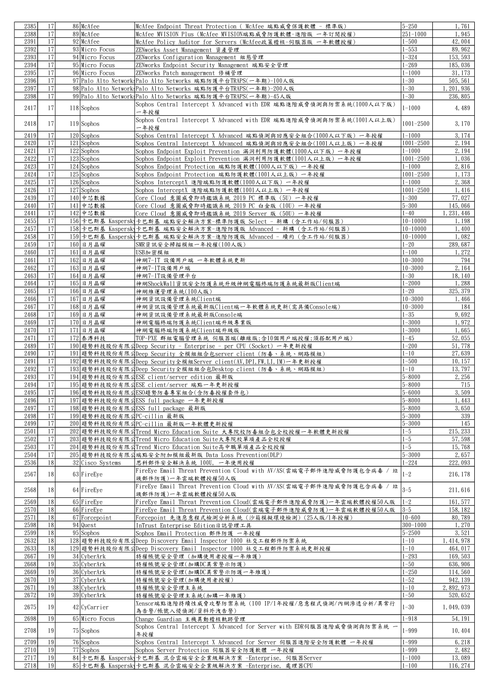| 2385         | 17              | 86 McAfee                  | McAfee Endpoint Threat Protection ( McAfee 端點威脅保護軟體 - 標準版)                                                           | $5 - 250$               | 1,761              |
|--------------|-----------------|----------------------------|----------------------------------------------------------------------------------------------------------------------|-------------------------|--------------------|
| 2388         | 17              | 89 McAfee                  | McAfee MVISION Plus (McAfee MVISION端點威脅防護軟體-進階版 一年訂閱授權)                                                              | $251 - 1000$            | 1,945              |
| 2391         | 17              | 92 McAfee                  | McAfee Policy Auditor for Servers (McAfee政策稽核-伺服器版 一年軟體授權)                                                           | $1 - 500$               | 42,004             |
|              | 17              | 93 Micro Focus             |                                                                                                                      |                         |                    |
| 2392         |                 |                            | ZENworks Asset Management 資產管理                                                                                       | $1 - 553$               | 89, 962            |
| 2393         | 17              | 94 Micro Focus             | ZENworks Configuration Management 組態管理                                                                               | $1 - 324$               | 153, 593           |
| 2394         | 17              | 95 Micro Focus             | ZENworks Endpoint Security Management 端點安全管理                                                                         | $1 - 269$               | 185,036            |
| 2395         | 17              | 96 Micro Focus             | ZENworks Patch managerment 修補管理                                                                                      | $1 - 1000$              | 31, 173            |
| 2396         | 17              |                            | 97 Palo Alto Network Palo Alto Networks 端點防護平台TRAPS(一年期)-100人版                                                       | $1 - 30$                | 505, 561           |
| 2397         | 17              |                            | 98 Palo Alto Network Palo Alto Networks 端點防護平台TRAPS(一年期)-200人版                                                       | $1 - 30$                | 1, 201, 936        |
| 2398         | 17              |                            | 99 Palo Alto Network Palo Alto Networks 端點防護平台TRAPS(一年期)-45人版                                                        | $1 - 30$                | 236, 805           |
|              |                 |                            |                                                                                                                      |                         |                    |
| 2417         | 17              | $118$ Sophos               | Sophos Central Intercept X Advanced with EDR 端點進階威脅偵測與防禦系統(1000人以下版)                                                 | $1 - 1000$              | 4,489              |
|              |                 |                            | 一年授權                                                                                                                 |                         |                    |
| 2418         | 17              | $119$ Sophos               | Sophos Central Intercept X Advanced with EDR 端點進階威脅偵測與防禦系統(1001人以上版)                                                 | $1001 - 2500$           | 3, 170             |
|              |                 |                            | 一年授權                                                                                                                 |                         |                    |
| 2419         | 17              | $120$ Sophos               | Sophos Central Intercept X Advanced 端點偵測與回應安全組合(1000人以下版) 一年授權                                                       | $1 - 1000$              | 3, 174             |
| 2420         | 17              | $121$ Sophos               | Sophos Central Intercept X Advanced 端點偵測與回應安全組合(1001人以上版) 一年授權                                                       | $1001 - 2500$           | 2, 194             |
| 2421         | 17              | $122$ Sophos               | Sophos Endpoint Exploit Prevention 漏洞利用防護軟體(1000人以下版) 一年授權                                                           | $1 - 1000$              | 2, 194             |
|              |                 |                            |                                                                                                                      |                         |                    |
| 2422         | 17              | $123$ Sophos               | Sophos Endpoint Exploit Prevention 漏洞利用防護軟體(1001人以上版) 一年授權                                                           | $1001 - 2500$           | 1,036              |
| 2423         | 17              | $124$ Sophos               | Sophos Endpoint Protection 端點防護軟體(1000人以下版)一年授權                                                                      | $1 - 1000$              | 2,816              |
| 2424         | 17              | $125$ Sophos               | Sophos Endpoint Protection 端點防護軟體(1001人以上版)一年授權                                                                      | $1001 - 2500$           | 1,173              |
| 2425         | 17              | $126$ Sophos               | Sophos InterceptX 進階端點防護軟體(1000人以下版) 一年授權                                                                            | $1 - 1000$              | 2,368              |
| 2426         | 17              | $127$ Sophos               | Sophos InterceptX 進階端點防護軟體(1001人以上版) 一年授權                                                                            | $1001 - 2500$           | 1,416              |
| 2439         | 17              | 140 中芯數據                   | Core Cloud 意圖威脅即時鑑識系統 2019 PC 標準版 (5U) 一年授權                                                                          | $1 - 300$               | 77,027             |
| 2440         | 17              | 141 中芯數據                   |                                                                                                                      | $5 - 300$               | 145,066            |
|              |                 |                            | Core Cloud 意圖威脅即時鑑識系統 2019 PC 白金版(10U)一年授權                                                                           |                         |                    |
| 2441         | 17              | 142 中芯數據                   | Core Cloud 意圖威脅即時鑑識系統 2019 Server 版 (50U) 一年授權                                                                       | $1 - 40$                | 1, 231, 446        |
| 2455         | 17              |                            | 156 卡巴斯基 Kaspersk」卡巴斯基 端點安全解決方案-標準防護版 Select - 新購 (含工作站/伺服器)                                                         | $10 - 10000$            | 1,198              |
| 2457         | 17              |                            | 158 卡巴斯基 Kaspersk 卡巴斯基 端點安全解決方案-進階防護版 Advanced - 新購 (含工作站/伺服器)                                                       | $10 - 10000$            | 1,400              |
| 2458         | 17              |                            | 159 卡巴斯基 Kaspersk 卡巴斯基 端點安全解決方案-進階防護版 Advanced - 續約 (含工作站/伺服器)                                                       | $10 - 10000$            | 1,082              |
| 2459         | 17              | $160$ 日月晶耀                 | SMR資訊安全掃描模組一年授權(100人版)                                                                                               | $1 - 20$                | 289, 687           |
| 2460         | 17              | $161$ 日月晶耀                 | USB加密模組                                                                                                              | $1 - 100$               | 1,272              |
|              | 17              |                            |                                                                                                                      |                         |                    |
| 2461         |                 | $162$ 日月晶耀                 | 神網7-IT 設備用戶端 一年軟體系統更新                                                                                                | $10 - 3000$             | 794                |
| 2462         | 17              | $163$ 日月晶耀                 | 神網7-IT設備用戶端                                                                                                          | $10 - 3000$             | 2, 164             |
| 2463         | 17              | $164$ 日月晶耀                 | 神網7-IT設備管理平台                                                                                                         | $1 - 30$                | 18, 140            |
| 2464         | 17              | $165$ 日月晶耀                 | 神網ShockWall資訊安全防護系統升級神網電腦終端防護系統最新版Client端                                                                            | $1 - 2000$              | 1,288              |
| 2465         | 17              | $166$ 日月晶耀                 | 神網維運管理系統(100人版)                                                                                                      | $1 - 20$                | 325, 379           |
| 2466         | 17              | $167$ 日月晶耀                 | 神網資訊設備管理系統Client端                                                                                                    | $ 10 - 3000 $           | 1,466              |
| 2467         | 17              | 168 日月晶耀                   | 神網資訊設備管理系統最新版Client端一年軟體系統更新(需具備Console端)                                                                            | $10 - 3000$             | 184                |
|              |                 |                            |                                                                                                                      |                         |                    |
| 2468         | 17              | $169$ 日月晶耀                 | 神網資訊設備管理系統最新版Console端                                                                                                | $1 - 35$                | 9,692              |
| 2469         | 17              | $170$ 日月晶耀                 | 神網電腦終端防護系統Client端升級專業版                                                                                               | $1 - 3000$              | 1,972              |
| 2470         | 17              | $171$ 日月晶耀                 | 神網電腦終端防護系統Client端升級版                                                                                                 | $1 - 3000$              | 1,665              |
| 2471         | 17              | 172 泰溥科技                   | TOP-PXE 群組電腦管理系統 伺服器端(離線版;含10個用戶端授權;須搭配用戶端)                                                                          | $1 - 45$                | 52,055             |
| 2489         | 17              |                            | 190 趨勢科技股份有限公Deep Security - Enterprise - per CPU (Socket) 一年更新授權                                                    | $1 - 200$               | 51,778             |
| 2490         | 17              |                            | 191 趨勢科技股份有限公Deep Security 全模組組合包server client (防毒、系統、網路模組)                                                          | $1 - 10$                | 27,639             |
| 2491         | 17              |                            | 192 趨勢科技股份有限公Deep Security全模組Server client(AV, DPI, FW, LI, IM)一年更新授權                                                | $1 - 500$               | 10, 157            |
|              |                 |                            |                                                                                                                      |                         |                    |
| 2492         | 17              |                            | 193 趨勢科技股份有限公Deep Security全模組組合包Desktop client (防毒、系統、網路模組)                                                          | $1 - 10$                | 13,797             |
| 2493         | 17              |                            | 194 趨勢科技股份有限公ESE client/server edition 最新版                                                                           | $5 - 8000$              | 2, 256             |
| 2494         | 17              |                            | 195 趨勢科技股份有限公ESE client/server 端點一年更新授權                                                                              | $5 - 8000$              | 715                |
| 2495         | 171             |                            | 196 趨勢科技股份有限公ESO趨勢防毒專家組合(含防毒授權套件包)                                                                                   | $5 - 6000$              | 3,509              |
| 2496         | 17              |                            | 197 趨勢科技股份有限公ESS full package 一年更新授權                                                                                 | $5 - 8000$              | 1,443              |
| 2497         | 17              |                            | 198 趨勢科技股份有限公ESS full package 最新版                                                                                    | $5 - 8000$              | 3,650              |
| 2498         | 17              | 199 趨勢科技股份有限公PC-cillin 最新版 |                                                                                                                      | $5 - 3000$              | 339                |
|              |                 |                            |                                                                                                                      |                         |                    |
| 2499         | 17              |                            |                                                                                                                      |                         |                    |
| 2501         | 17              |                            | 200 趨勢科技股份有限公PC-cillin 最新版一年軟體更新授權                                                                                   | $5 - 3000$              | 145                |
| 2502         | 17              |                            | 202 趨勢科技股份有限公Trend Micro Education Suite 大專院校防毒組合包全校授權一年軟體更新授權                                                       | $1 - 5$                 | 215, 233           |
| 2503         |                 |                            | 203 趨勢科技股份有限公Trend Micro Education Suite大專院校單項產品全校授權                                                                 | $1 - 5$                 | 57, 598            |
|              | 17              |                            | 204 趨勢科技股份有限公Trend Micro Education Suite高中職單項產品全校授權                                                                  | $1 - 5$                 | 15,768             |
| 2504         | 17              |                            | 205 趨勢科技股份有限公端點安全附加模組最新版 Data Loss Prevention(DLP)                                                                   | $5 - 3000$              | 2,657              |
| 2536         | 18 <sup>1</sup> |                            |                                                                                                                      | $1 - 224$               |                    |
|              |                 | 32 Cisco Systems           | 思科郵件安全解決系統 100U, 一年使用授權                                                                                              |                         | 222, 093           |
| 2567         | 18 <sup>1</sup> | $63$ FireEye               | FireEve Email Threat Prevention Cloud with AV/AS(雲端電子郵件進階威脅防護包含病毒 / 垃                                                | $1 - 2$                 | 216, 178           |
|              |                 |                            | 圾郵件防護)一年雲端軟體授權50人版                                                                                                   |                         |                    |
| 2568         | 18 <sup> </sup> | 64 FireEye                 | FireEye Email Threat Prevention Cloud with AV/AS(雲端電子郵件進階威脅防護包含病毒 / 垃                                                | $3 - 5$                 | 211,616            |
|              |                 |                            | 圾郵件防護)一年雲端軟體授權50人版                                                                                                   |                         |                    |
| 2569         | 18              | $65$ FireEye               | FireEye Email Threat Prevention Cloud(雲端電子郵件進階威脅防護)一年雲端軟體授權50人版                                                      | $1 - 2$                 | 161, 577           |
| 2570         | 18              | 66 FireEye                 | FireEye Email Threat Prevention Cloud(雲端電子郵件進階威脅防護)一年雲端軟體授權50人版                                                      | $3-5$                   | 158, 182           |
| 2571         | 18              | 67 Forcepoint              |                                                                                                                      | $10 - 600$              | 80,789             |
|              |                 |                            | Forcepoint 先進惡意程式檢測分析系統(沙箱模擬環境檢測)(25人版/1年授權)                                                                         |                         |                    |
| 2598         | 18              | 94 Quest                   | InTrust Enterprise Edition日誌管理工具                                                                                     | $300 - 1000$            | 1, 270             |
| 2599         | 18              | $95$ Sophos                | Sophos Email Protection 郵件防護 一年授權                                                                                    | $5 - 2500$              | 3,521              |
| 2632         | 18              |                            | 128 趨勢科技股份有限公Deep Discovery Email Inspector 1000 社交工程郵件防禦系統                                                          | $1 - 10$                | 1, 414, 978        |
| 2633         | 18              |                            | 129 趨勢科技股份有限公Deep Discovery Email Inspector 1000 社交工程郵件防禦系統更新授權                                                      | $1 - 10$                | 464, 017           |
| 2667         | 19              | 34 CyberArk                | 特權帳號安全管理 (加購使用者授權一年維護)                                                                                               | $1 - 293$               | 169, 503           |
| 2668         | 19              | $35$ CyberArk              | 特權帳號安全管理(加購DC異常警示防護)                                                                                                 | $1 - 50$                | 636, 906           |
| 2669         | 19              | $36$ CyberArk              | 特權帳號安全管理(加購DC異常警示防護一年維護)                                                                                             | $1 - 250$               | 114,560            |
|              |                 |                            |                                                                                                                      |                         |                    |
| 2670         | 19              | 37 CyberArk                | 特權帳號安全管理(加購使用者授權)                                                                                                    | $1 - 52$                | 942, 139           |
| 2671         | 19              | $38$ CyberArk              | 特權帳號安全管理主系統                                                                                                          | $1 - 10$                | 2, 892, 973        |
| 2672         | 19              | 39 CyberArk                | 特權帳號安全管理主系統(加購一年維護)                                                                                                  | $1 - 50$                | 520, 652           |
|              |                 |                            | Xensor端點進階持續性威脅攻擊防禦系統 (100 IP/1年授權/惡意程式偵測/內網滲透分析/異常行                                                                 |                         |                    |
| 2675         | 19 <sup>1</sup> | 42 CyCarrier               | 為告警/帳號入侵偵測/資料外洩告警)                                                                                                   | $1 - 30$                | 1,049,039          |
| 2698         | 19 <sup>1</sup> | 65 Micro Focus             | Change Guardian 主機異動稽核軌跡管理                                                                                           | $1 - 918$               | 54, 191            |
|              |                 |                            |                                                                                                                      |                         |                    |
| 2708         | 19 <sup>1</sup> | 75 Sophos                  | Sophos Central Intercept X Advanced for Server with EDR伺服器進階威脅偵測與防禦系統 一                                              | $1 - 999$               | 10,404             |
|              |                 |                            | 年授權                                                                                                                  |                         |                    |
| 2709         | 19              | $\overline{76}$ Sophos     | Sophos Central Intercept X Advanced for Server 伺服器進階安全防護軟體 一年授權                                                      | $1 - 999$               | 6, 218             |
| 2710         | 19              | 77 Sophos                  | Sophos Server Protection 伺服器安全防護軟體 一年授權                                                                              | $1 - 999$               | 2.482              |
| 2717<br>2718 | 19<br>19        |                            | 84 卡巴斯基 Kaspersk 卡巴斯基 混合雲端安全企業級解決方案 -Enterprise,伺服器Server<br>85 卡巴斯基 Kaspersk!卡巴斯基 混合雲端安全企業級解決方案 -Enterprise, 處理器CPU | $1 - 1000$<br>$1 - 100$ | 13,089<br>116, 274 |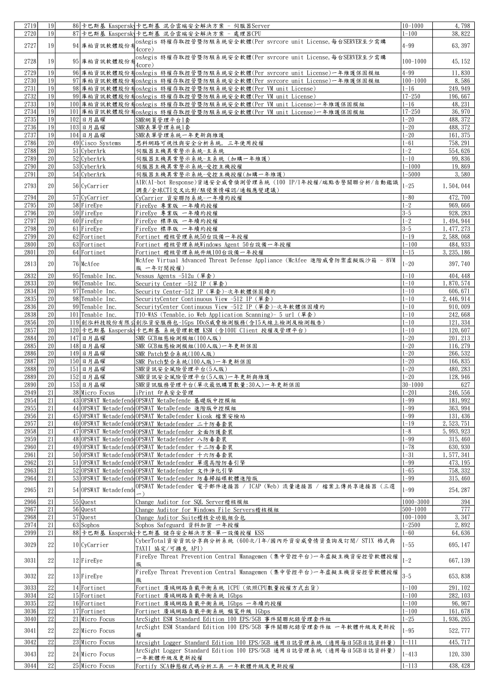| 2719 | 19              |                      | 86 卡巴斯基 Kaspersk」卡巴斯基 混合雲端安全解決方案 - 伺服器Server                               | 10-1000      | 4,798       |
|------|-----------------|----------------------|----------------------------------------------------------------------------|--------------|-------------|
| 2720 | 19              |                      | 87 卡巴斯基 Kaspersk 卡巴斯基 混合雲端安全解決方案 - 處理器CPU                                  | $1 - 100$    | 38,822      |
|      |                 |                      |                                                                            |              |             |
| 2727 | 19              |                      | 94 庫柏資訊軟體股份有4--- 、<br>94 庫柏資訊軟體股份有4--- 、                                   | $4 - 99$     | 63, 397     |
|      |                 |                      | 4core)                                                                     |              |             |
| 2728 | 19              | 95 庫柏資訊軟體股份才         | osAegis 特權存取控管暨防駭系統安全軟體(Per svrcore unit License, 每台SERVER至少需購             | $100 - 1000$ | 45, 152     |
|      |                 |                      | 4core)                                                                     |              |             |
| 2729 | 19              |                      | 96 庫柏資訊軟體股份有osAegis 特權存取控管暨防駭系統安全軟體(Per svrcore unit License)一年維護保固模組      | $4 - 99$     | 11,830      |
| 2730 | 19              |                      | 97 庫柏資訊軟體股份有osAegis 特權存取控管暨防駭系統安全軟體(Per svrcore unit License)一年維護保固模組      | $100 - 1000$ | 8,586       |
| 2731 | 19              |                      | 98 庫柏資訊軟體股份有osAegis 特權存取控管暨防駭系統安全軟體(Per VM unit License)                   | $1 - 16$     | 249, 949    |
|      |                 |                      |                                                                            |              |             |
| 2732 | 19              |                      | 99 庫柏資訊軟體股份有osAegis 特權存取控管暨防駭系統安全軟體(Per VM unit License)                   | $17 - 250$   | 196, 667    |
| 2733 | 19              |                      | 100 庫柏資訊軟體股份有osAegis 特權存取控管暨防駭系統安全軟體(Per VM unit License)一年維護保固模組          | $1 - 16$     | 48, 231     |
| 2734 | 19              |                      | 101 庫柏資訊軟體股份有osAegis 特權存取控管暨防駭系統安全軟體(Per VM unit License)一年維護保固模組          | $17 - 250$   | 36, 970     |
| 2735 | 19              | $102$ 日月晶耀           | SMR網頁管理平台1套                                                                | $1 - 20$     | 488, 372    |
| 2736 | 19              | $103$ 日月晶耀           | SMR表單管理系統1套                                                                | $1 - 20$     | 488, 372    |
|      |                 |                      |                                                                            |              |             |
| 2737 | 19              | $104$ 日月晶耀           | SMR表單管理系統一年更新與維護                                                           | $1 - 20$     | 161, 375    |
| 2786 | 20              | 49 Cisco Systems     | 思科網路可視性與安全分析系統, 三年使用授權                                                     | $1 - 61$     | 758, 291    |
| 2788 | 20              | 51 CyberArk          | 伺服器主機異常警示系統-主系統                                                            | $1 - 2$      | 554, 626    |
| 2789 | 20              | 52 CyberArk          | 伺服器主機異常警示系統-主系統(加購一年維護)                                                    | $1 - 10$     | 99,836      |
| 2790 | $20\,$          | 53 CyberArk          |                                                                            | $1 - 1000$   | 19,869      |
|      |                 |                      | 伺服器主機異常警示系統-受控主機授權                                                         |              |             |
| 2791 | 20              | 54 CyberArk          | 伺服器主機異常警示系統-受控主機授權(加購一年維護)                                                 | $1 - 5000$   | 3,580       |
| 2793 | 20              | 56 CyCarrier         | AIR(AI-bot Response)資通安全威脅偵測管理系統 (100 IP/1年授權/端點告警關聯分析/自動鑑識                | $1 - 25$     | 1,504,044   |
|      |                 |                      | 調查/全球CTI交叉比對/駭侵案情確認/通報應變建議)                                                |              |             |
| 2794 | 20              | 57 CyCarrier         | CyCarrier 資安聯防系統-一年續約授權                                                    | $1 - 80$     | 472, 700    |
|      |                 |                      |                                                                            |              |             |
| 2795 | 20              | $58$ FireEye         | FireEye 專業版 一年續約授權                                                         | $1 - 2$      | 969,666     |
| 2796 | 20              | 59 FireEye           | FireEye 專業版 一年續約授權                                                         | $3 - 5$      | 928, 283    |
| 2797 | 20              | 60 FireEye           | FireEye 標準版 一年續約授權                                                         | $1 - 2$      | 1, 494, 944 |
| 2798 | 20              | $61$ FireEye         | FireEye 標準版 一年續約授權                                                         | $3 - 5$      | 1, 477, 273 |
| 2799 | 20              | 62 Fortinet          | Fortinet 稽核管理系統50台設備一年授權                                                   | $1 - 19$     | 2,588,068   |
|      |                 |                      |                                                                            |              |             |
| 2800 | 20              | 63 Fortinet          | Fortinet 稽核管理系統Windows Agent 50台設備一年授權                                     | $1 - 100$    | 484, 933    |
| 2801 | 20              | 64 Fortinet          | Fortinet 稽核管理系統升級100台設備一年授權                                                | $1 - 15$     | 3, 235, 186 |
|      |                 |                      | McAfee Virtual Advanced Threat Defense Appliance (McAfee 進階威脅防禦虛擬版沙箱 - 8VM |              |             |
| 2813 | 20              | 76 McAfee            | 版 一年訂閱授權)                                                                  | $1 - 20$     | 397, 740    |
| 2832 | 20              | 95 Tenable Inc.      |                                                                            | $1 - 10$     | 404, 448    |
|      |                 |                      | Nessus Agents -512u(單套)                                                    |              |             |
| 2833 | 20              | 96 Tenable Inc.      | Security Center -512 IP(單套)                                                | $1 - 10$     | 1,870,574   |
| 2834 | 20              | 97 Tenable Inc.      | Security Center-512 IP (單套)-次年軟體保固續約                                       | $1 - 10$     | 606, 671    |
| 2835 | 20              | 98 Tenable Inc.      | SecurityCenter Continuous View -512 IP (單套)                                | $1 - 10$     | 2, 446, 914 |
| 2836 | $20\,$          | 99 Tenable Inc.      | SecurityCenter Continuous View -512 IP (單套)-次年軟體保固續約                       | $1 - 10$     | 910,009     |
|      |                 |                      |                                                                            |              |             |
| 2838 | 20              | 101 Tenable Inc.     | TIO-WAS (Tenable.io Web Application Scanning)- 5 url (單套)                  | $1 - 10$     | 242,668     |
| 2856 | 20              |                      | 119 創泓科技股份有限公創泓資安服務包-1Gps DDoS威脅檢測服務(含15天線上檢測及檢測報告)                        | $1 - 10$     | 121, 334    |
| 2857 | 20              |                      | 120 卡巴斯基 Kaspersk 卡巴斯基 系統管理軟體 KSM (含100U Client 授權及管理平台)                   | $1 - 10$     | 120, 607    |
| 2884 | 20              | $147$ 日月晶耀           | SMR GCB組態檢測模組(100人版)                                                       | $1 - 20$     | 201, 213    |
|      | 20              | $148$ 日月晶耀           |                                                                            |              |             |
| 2885 |                 |                      | SMR GCB組態檢測模組(100人版)一年更新保固                                                 | $1 - 20$     | 116, 279    |
| 2886 | $20\,$          | $149$ 日月晶耀           | SMR Patch整合系統(100人版)                                                       | $1 - 20$     | 266, 532    |
| 2887 | $20\,$          | $150$ 日月晶耀           | SMR Patch整合系統(100人版)一年更新保固                                                 | $1 - 20$     | 166, 835    |
| 2888 | 20              | $151$ 日月晶耀           | SMR資訊安全風險管理平台(5人版)                                                         | $1 - 20$     | 480, 283    |
| 2889 | 20              | $152$  日月晶耀          | SMR資訊安全風險管理平台(5人版)一年更新與維護                                                  | $1 - 20$     | 128, 946    |
|      |                 |                      |                                                                            |              |             |
| 2890 | 20              | $153$ 日月晶耀           | SMR資訊服務管理平台(單次最低購買數量:30人)一年更新保固                                            | $ 30 - 1000$ | 627         |
| 2949 | 21              | 38 Micro Focus       | iPrint 印表安全管理                                                              | $1 - 201$    | 246, 556    |
| 2954 | 21              |                      | 43 OPSWAT Metadefend OPSWAT MetaDefende 基礎版中控模組                            | $1 - 99$     | 181, 992    |
| 2955 | 21              |                      | 44 OPSWAT Metadefend OPSWAT MetaDefende 進階版中控模組                            | $1 - 99$     | 363, 994    |
| 2956 | 21              |                      | 45 OPSWAT Metadefend OPSWAT MetaDefender Kiosk 檔案安檢站                       | $1 - 99$     | 131, 436    |
|      |                 |                      |                                                                            |              |             |
| 2957 | 21              |                      | 46 OPSWAT Metadefend OPSWAT Metadefender 二十防毒套裝                            | $1 - 19$     | 2, 523, 751 |
| 2958 | 21              |                      | 47 OPSWAT Metadefend OPSWAT Metadefender 全面防護套裝                            | $1 - 8$      | 5, 993, 923 |
| 2959 | $21\,$          |                      | 48 OPSWAT Metadefend OPSWAT Metadefender 八防毒套裝                             | $1 - 99$     | 315, 460    |
| 2960 | 21              |                      | 49 OPSWAT Metadefend OPSWAT Metadefender 十二防毒套裝                            | $1 - 78$     | 630, 930    |
| 2961 | 21              |                      | 50 OPSWAT Metadefend OPSWAT Metadefender 十六防毒套装                            | $1 - 31$     | 1, 577, 341 |
|      |                 |                      |                                                                            |              |             |
| 2962 | 21              |                      | 51 OPSWAT Metadefend OPSWAT Metadefender 單選高階防毒引擎                          | $1 - 99$     | 473, 195    |
| 2963 | 21              |                      | 52 OPSWAT Metadefend OPSWAT Metadefender 文件浄化引擎                            | $1 - 65$     | 758, 332    |
| 2964 | 21              |                      | 53 OPSWAT Metadefend OPSWAT Metadefender 防毒掃描碟軟體進階版                        | $1 - 99$     | 315, 460    |
|      |                 |                      | OPSWAT Metadefender 電子郵件連接器 / ICAP (Web) 流量連接器 / 檔案上傳共享連接器 (三選             |              |             |
| 2965 | 21              | 54 OPSWAT Metadefend |                                                                            | $1 - 99$     | 254, 287    |
|      |                 |                      |                                                                            |              |             |
| 2966 | 21              | $55$ Quest           | Change Auditor for SQL Server稽核模組                                          | 1000-3000    | 394         |
| 2967 | 21              | $56$ Quest           | Change Auditor for Windows File Servers稽核模組                                | 500-1000     | 777         |
| 2968 | 21              | $57$ Quest           | Change Auditor Suite稽核全功能組合包                                               | 100-1000     | 3, 347      |
| 2974 | 21              | $63$ Sophos          | Sophos Safeguard 資料加密 一年授權                                                 | $1 - 2500$   | 2,892       |
|      |                 |                      |                                                                            |              |             |
| 2999 | 21              |                      | 88 卡巴斯基 Kaspersk 卡巴斯基 储存安全解決方案-單一設備授權 KSS                                  | $1 - 60$     | 64,636      |
| 3029 | 22              | 10 CyCarrier         | CyberTotal資安資訊分享與分析系統 (600次/1年/國內外資安威脅情資查詢及訂閱/ STIX 格式與                    | $1 - 55$     | 695, 147    |
|      |                 |                      | TAXII 協定/可擴充 API)                                                          |              |             |
|      |                 |                      | FireEve Threat Prevention Central Managemen (集中管控平台)一年虚擬主機資安控管軟體授權         |              |             |
| 3031 | 22              | 12 FireEye           | 版                                                                          | $1 - 2$      | 667, 139    |
|      |                 |                      |                                                                            |              |             |
| 3032 | 22              | $13$ FireEye         | FireEye Threat Prevention Central Managemen (集中管控平台)一年虛擬主機資安控管軟體授權         | $3-5$        | 653, 838    |
|      |                 |                      | 版                                                                          |              |             |
| 3033 | 22              | 14 Fortinet          | Fortinet 廣域網路負載平衡系統 1CPU (依照CPU數量授權方式出貨)                                   | $1 - 100$    | 291, 102    |
| 3034 | $\overline{22}$ | 15 Fortinet          | Fortinet 廣域網路負載平衡系統 1Gbps                                                  | $1 - 100$    | 282, 103    |
|      |                 |                      |                                                                            |              |             |
| 3035 | 22              | 16 Fortinet          | Fortinet 廣域網路負載平衡系統 1Gbps 一年續約授權                                           | $1 - 100$    | 96, 967     |
| 3036 | 22              | 17 Fortinet          | Fortinet 廣域網路負載平衡系統 頻寬升級 1Gbps                                             | $1 - 100$    | 161, 678    |
| 3040 | 22              | 21 Micro Focus       | ArcSight ESM Standard Edition 100 EPS/5GB 事件關聯紀錄管理套件組                      | $1 - 25$     | 1, 936, 265 |
|      |                 |                      | ArcSight ESM Standard Edition 100 EPS/5GB 事件關聯紀錄管理套件組 一年軟體升級及更新授           |              |             |
| 3041 | 22              | 22 Micro Focus       |                                                                            | $1 - 95$     | 522, 777    |
|      |                 |                      | 權                                                                          |              |             |
| 3042 | 22              | 23 Micro Focus       | Arcsight Logger Standard Edition 100 EPS/5GB 通用日誌管理系統(適用每日5GB日誌資料量)        | $1 - 111$    | 445, 717    |
|      |                 |                      | ArcSight Logger Standard Edition 100 EPS/5GB 通用日誌管理系統(適用每日5GB日誌資料量)        |              |             |
| 3043 | 22              | 24 Micro Focus       | 一年軟體升級及更新授權                                                                | $1 - 413$    | 120, 330    |
|      | 22              | 25 Micro Focus       | Fortify SCA静態程式碼分析工具 一年軟體升級及更新授權                                           | $1 - 113$    | 438, 428    |
| 3044 |                 |                      |                                                                            |              |             |